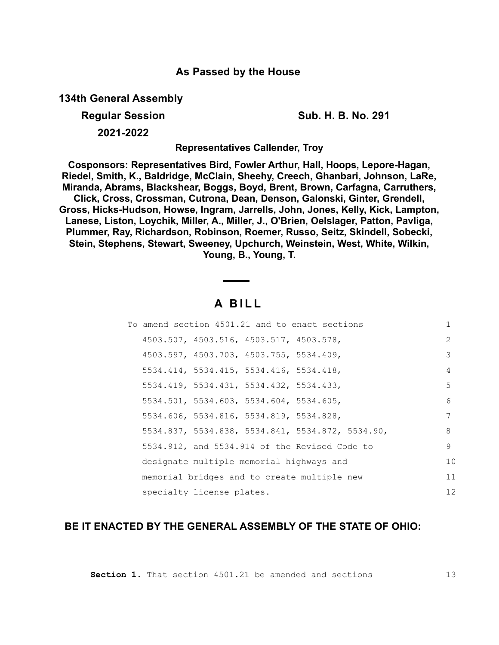### **As Passed by the House**

**134th General Assembly**

**Regular Session Sub. H. B. No. 291**

**2021-2022**

**Representatives Callender, Troy**

**Cosponsors: Representatives Bird, Fowler Arthur, Hall, Hoops, Lepore-Hagan, Riedel, Smith, K., Baldridge, McClain, Sheehy, Creech, Ghanbari, Johnson, LaRe, Miranda, Abrams, Blackshear, Boggs, Boyd, Brent, Brown, Carfagna, Carruthers, Click, Cross, Crossman, Cutrona, Dean, Denson, Galonski, Ginter, Grendell, Gross, Hicks-Hudson, Howse, Ingram, Jarrells, John, Jones, Kelly, Kick, Lampton, Lanese, Liston, Loychik, Miller, A., Miller, J., O'Brien, Oelslager, Patton, Pavliga, Plummer, Ray, Richardson, Robinson, Roemer, Russo, Seitz, Skindell, Sobecki, Stein, Stephens, Stewart, Sweeney, Upchurch, Weinstein, West, White, Wilkin, Young, B., Young, T.**

# **A B I L L**

|  | To amend section 4501.21 and to enact sections |  |                                                  | 1             |
|--|------------------------------------------------|--|--------------------------------------------------|---------------|
|  | 4503.507, 4503.516, 4503.517, 4503.578,        |  |                                                  | $\mathcal{L}$ |
|  | 4503.597, 4503.703, 4503.755, 5534.409,        |  |                                                  | 3             |
|  | 5534.414, 5534.415, 5534.416, 5534.418,        |  |                                                  | 4             |
|  | 5534.419, 5534.431, 5534.432, 5534.433,        |  |                                                  | 5             |
|  | 5534.501, 5534.603, 5534.604, 5534.605,        |  |                                                  | 6             |
|  | 5534.606, 5534.816, 5534.819, 5534.828,        |  |                                                  | 7             |
|  |                                                |  | 5534.837, 5534.838, 5534.841, 5534.872, 5534.90, | 8             |
|  | 5534.912, and 5534.914 of the Revised Code to  |  |                                                  | 9             |
|  | designate multiple memorial highways and       |  |                                                  | 10            |
|  | memorial bridges and to create multiple new    |  |                                                  | 11            |
|  | specialty license plates.                      |  |                                                  | 12            |

## **BE IT ENACTED BY THE GENERAL ASSEMBLY OF THE STATE OF OHIO:**

**Section 1.** That section 4501.21 be amended and sections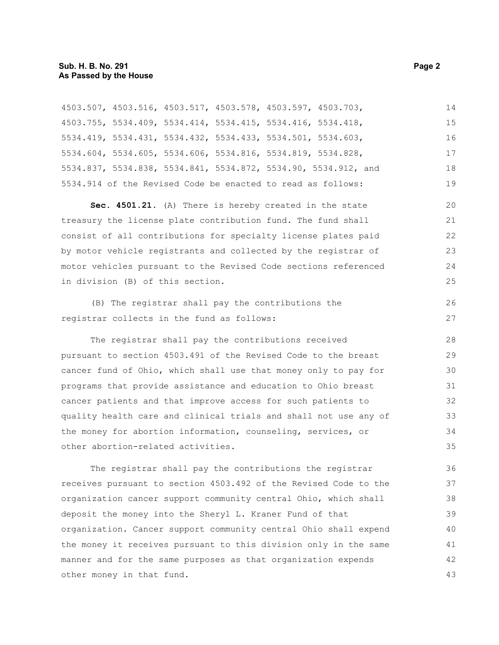|                                                             |  | Sec $450121$ (A) There is hereby created in the state          | 20 |
|-------------------------------------------------------------|--|----------------------------------------------------------------|----|
| 5534.914 of the Revised Code be enacted to read as follows: |  |                                                                | 19 |
|                                                             |  | 5534.837, 5534.838, 5534.841, 5534.872, 5534.90, 5534.912, and | 18 |
| 5534.604, 5534.605, 5534.606, 5534.816, 5534.819, 5534.828, |  |                                                                | 17 |
| 5534.419, 5534.431, 5534.432, 5534.433, 5534.501, 5534.603, |  |                                                                | 16 |
| 4503.755, 5534.409, 5534.414, 5534.415, 5534.416, 5534.418, |  |                                                                | 15 |
| 4503.507, 4503.516, 4503.517, 4503.578, 4503.597, 4503.703, |  |                                                                | 14 |

**Sec. 4501.21.** (A) There is hereby created in the state treasury the license plate contribution fund. The fund shall consist of all contributions for specialty license plates paid by motor vehicle registrants and collected by the registrar of motor vehicles pursuant to the Revised Code sections referenced in division (B) of this section.

(B) The registrar shall pay the contributions the registrar collects in the fund as follows:

The registrar shall pay the contributions received pursuant to section 4503.491 of the Revised Code to the breast cancer fund of Ohio, which shall use that money only to pay for programs that provide assistance and education to Ohio breast cancer patients and that improve access for such patients to quality health care and clinical trials and shall not use any of the money for abortion information, counseling, services, or other abortion-related activities.

The registrar shall pay the contributions the registrar receives pursuant to section 4503.492 of the Revised Code to the organization cancer support community central Ohio, which shall deposit the money into the Sheryl L. Kraner Fund of that organization. Cancer support community central Ohio shall expend the money it receives pursuant to this division only in the same manner and for the same purposes as that organization expends other money in that fund. 36 37 38 39 40 41 42 43

26 27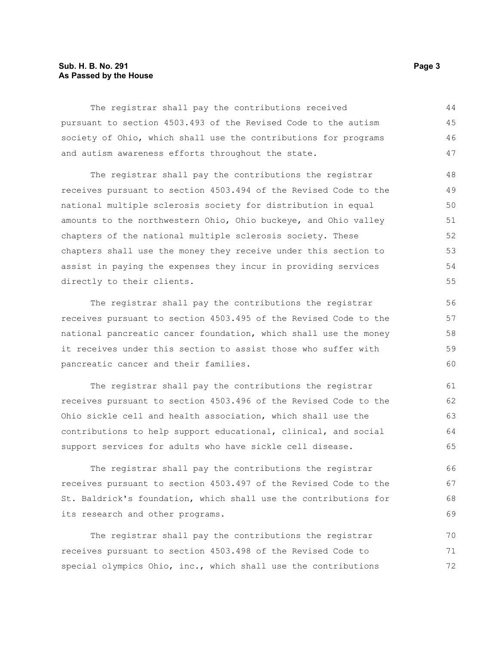#### **Sub. H. B. No. 291 Page 3 As Passed by the House**

The registrar shall pay the contributions received pursuant to section 4503.493 of the Revised Code to the autism society of Ohio, which shall use the contributions for programs and autism awareness efforts throughout the state. 44 45 46 47

The registrar shall pay the contributions the registrar receives pursuant to section 4503.494 of the Revised Code to the national multiple sclerosis society for distribution in equal amounts to the northwestern Ohio, Ohio buckeye, and Ohio valley chapters of the national multiple sclerosis society. These chapters shall use the money they receive under this section to assist in paying the expenses they incur in providing services directly to their clients.

The registrar shall pay the contributions the registrar receives pursuant to section 4503.495 of the Revised Code to the national pancreatic cancer foundation, which shall use the money it receives under this section to assist those who suffer with pancreatic cancer and their families.

The registrar shall pay the contributions the registrar receives pursuant to section 4503.496 of the Revised Code to the Ohio sickle cell and health association, which shall use the contributions to help support educational, clinical, and social support services for adults who have sickle cell disease.

The registrar shall pay the contributions the registrar receives pursuant to section 4503.497 of the Revised Code to the St. Baldrick's foundation, which shall use the contributions for its research and other programs.

The registrar shall pay the contributions the registrar receives pursuant to section 4503.498 of the Revised Code to special olympics Ohio, inc., which shall use the contributions 70 71 72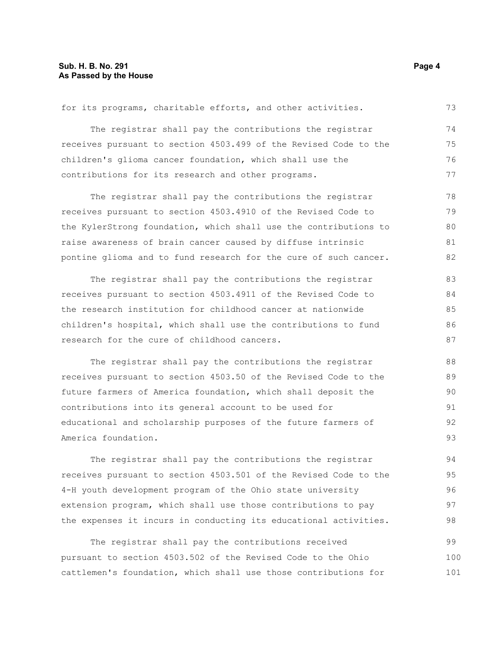### **Sub. H. B. No. 291 Page 4 As Passed by the House**

| for its programs, charitable efforts, and other activities.      | 73 |
|------------------------------------------------------------------|----|
| The registrar shall pay the contributions the registrar          | 74 |
| receives pursuant to section 4503.499 of the Revised Code to the | 75 |
| children's glioma cancer foundation, which shall use the         | 76 |
| contributions for its research and other programs.               | 77 |
| The registrar shall pay the contributions the registrar          | 78 |
| receives pursuant to section 4503.4910 of the Revised Code to    | 79 |
| the KylerStrong foundation, which shall use the contributions to | 80 |
| raise awareness of brain cancer caused by diffuse intrinsic      | 81 |
| pontine glioma and to fund research for the cure of such cancer. | 82 |
| The registrar shall pay the contributions the registrar          | 83 |
| receives pursuant to section 4503.4911 of the Revised Code to    | 84 |
| the research institution for childhood cancer at nationwide      | 85 |
| children's hospital, which shall use the contributions to fund   | 86 |
| research for the cure of childhood cancers.                      | 87 |
| The registrar shall pay the contributions the registrar          | 88 |
| receives pursuant to section 4503.50 of the Revised Code to the  | 89 |
| future farmers of America foundation, which shall deposit the    | 90 |
| contributions into its general account to be used for            | 91 |
| educational and scholarship purposes of the future farmers of    | 92 |
| America foundation.                                              | 93 |
| The registrar shall pay the contributions the registrar          | 94 |
| receives pursuant to section 4503.501 of the Revised Code to the | 95 |
| 4-H youth development program of the Ohio state university       | 96 |
| extension program, which shall use those contributions to pay    | 97 |
| the expenses it incurs in conducting its educational activities. | 98 |

The registrar shall pay the contributions received pursuant to section 4503.502 of the Revised Code to the Ohio cattlemen's foundation, which shall use those contributions for 99 100 101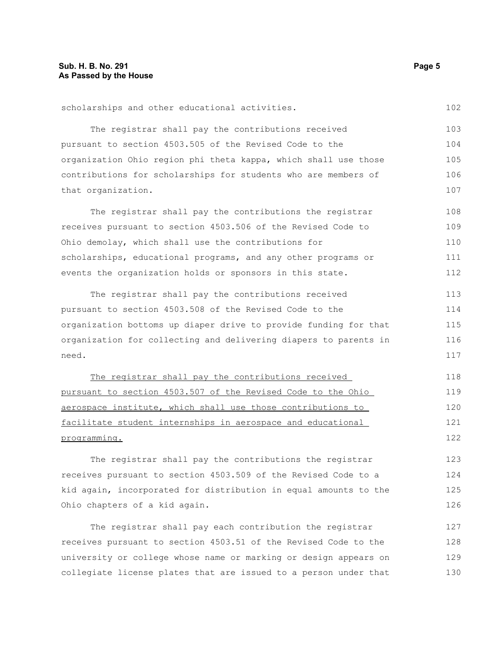| scholarships and other educational activities.                   | 102 |
|------------------------------------------------------------------|-----|
| The registrar shall pay the contributions received               | 103 |
| pursuant to section 4503.505 of the Revised Code to the          | 104 |
| organization Ohio region phi theta kappa, which shall use those  | 105 |
| contributions for scholarships for students who are members of   | 106 |
| that organization.                                               | 107 |
| The registrar shall pay the contributions the registrar          | 108 |
| receives pursuant to section 4503.506 of the Revised Code to     | 109 |
| Ohio demolay, which shall use the contributions for              | 110 |
| scholarships, educational programs, and any other programs or    | 111 |
| events the organization holds or sponsors in this state.         | 112 |
| The registrar shall pay the contributions received               | 113 |
| pursuant to section 4503.508 of the Revised Code to the          | 114 |
| organization bottoms up diaper drive to provide funding for that | 115 |
| organization for collecting and delivering diapers to parents in | 116 |
| need.                                                            | 117 |
| The registrar shall pay the contributions received               | 118 |
| pursuant to section 4503.507 of the Revised Code to the Ohio     | 119 |
| aerospace institute, which shall use those contributions to      | 120 |
| facilitate student internships in aerospace and educational      | 121 |
| programming.                                                     | 122 |
| The registrar shall pay the contributions the registrar          | 123 |
| receives pursuant to section 4503.509 of the Revised Code to a   | 124 |

The registrar shall pay each contribution the registrar receives pursuant to section 4503.51 of the Revised Code to the university or college whose name or marking or design appears on collegiate license plates that are issued to a person under that 127 128 129 130

kid again, incorporated for distribution in equal amounts to the

Ohio chapters of a kid again.

102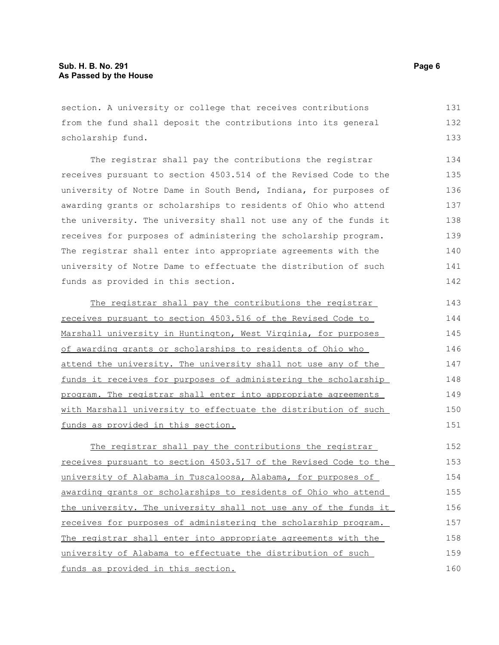section. A university or college that receives contributions from the fund shall deposit the contributions into its general scholarship fund. 131 132 133

The registrar shall pay the contributions the registrar receives pursuant to section 4503.514 of the Revised Code to the university of Notre Dame in South Bend, Indiana, for purposes of awarding grants or scholarships to residents of Ohio who attend the university. The university shall not use any of the funds it receives for purposes of administering the scholarship program. The registrar shall enter into appropriate agreements with the university of Notre Dame to effectuate the distribution of such funds as provided in this section.

The registrar shall pay the contributions the registrar receives pursuant to section 4503.516 of the Revised Code to Marshall university in Huntington, West Virginia, for purposes of awarding grants or scholarships to residents of Ohio who attend the university. The university shall not use any of the funds it receives for purposes of administering the scholarship program. The registrar shall enter into appropriate agreements with Marshall university to effectuate the distribution of such funds as provided in this section. 143 144 145 146 147 148 149 150 151

The registrar shall pay the contributions the registrar receives pursuant to section 4503.517 of the Revised Code to the university of Alabama in Tuscaloosa, Alabama, for purposes of awarding grants or scholarships to residents of Ohio who attend the university. The university shall not use any of the funds it receives for purposes of administering the scholarship program. The registrar shall enter into appropriate agreements with the university of Alabama to effectuate the distribution of such funds as provided in this section. 152 153 154 155 156 157 158 159 160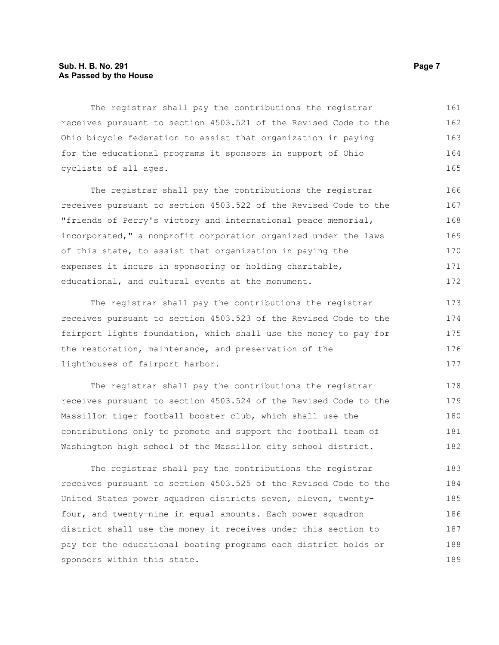#### **Sub. H. B. No. 291 Page 7 As Passed by the House**

The registrar shall pay the contributions the registrar receives pursuant to section 4503.521 of the Revised Code to the Ohio bicycle federation to assist that organization in paying for the educational programs it sponsors in support of Ohio cyclists of all ages. 161 162 163 164 165

The registrar shall pay the contributions the registrar receives pursuant to section 4503.522 of the Revised Code to the "friends of Perry's victory and international peace memorial, incorporated," a nonprofit corporation organized under the laws of this state, to assist that organization in paying the expenses it incurs in sponsoring or holding charitable, educational, and cultural events at the monument. 166 167 168 169 170 171 172

The registrar shall pay the contributions the registrar receives pursuant to section 4503.523 of the Revised Code to the fairport lights foundation, which shall use the money to pay for the restoration, maintenance, and preservation of the lighthouses of fairport harbor. 173 174 175 176 177

The registrar shall pay the contributions the registrar receives pursuant to section 4503.524 of the Revised Code to the Massillon tiger football booster club, which shall use the contributions only to promote and support the football team of Washington high school of the Massillon city school district. 178 179 180 181 182

The registrar shall pay the contributions the registrar receives pursuant to section 4503.525 of the Revised Code to the United States power squadron districts seven, eleven, twentyfour, and twenty-nine in equal amounts. Each power squadron district shall use the money it receives under this section to pay for the educational boating programs each district holds or sponsors within this state. 183 184 185 186 187 188 189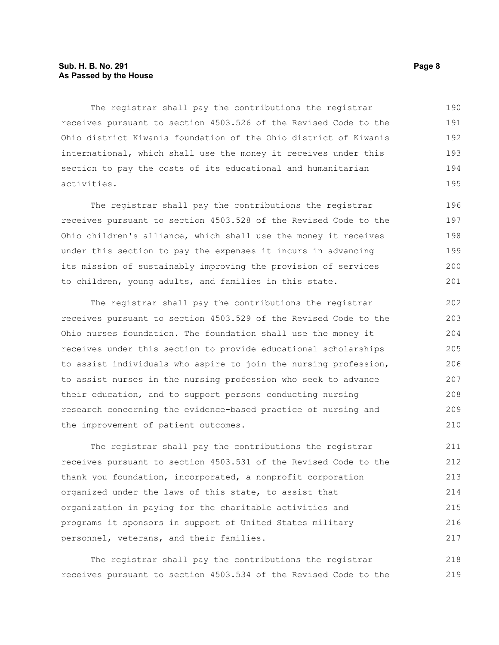#### **Sub. H. B. No. 291 Page 8 As Passed by the House**

The registrar shall pay the contributions the registrar receives pursuant to section 4503.526 of the Revised Code to the Ohio district Kiwanis foundation of the Ohio district of Kiwanis international, which shall use the money it receives under this section to pay the costs of its educational and humanitarian activities. 190 191 192 193 194 195

The registrar shall pay the contributions the registrar receives pursuant to section 4503.528 of the Revised Code to the Ohio children's alliance, which shall use the money it receives under this section to pay the expenses it incurs in advancing its mission of sustainably improving the provision of services to children, young adults, and families in this state. 196 197 198 199 200 201

The registrar shall pay the contributions the registrar receives pursuant to section 4503.529 of the Revised Code to the Ohio nurses foundation. The foundation shall use the money it receives under this section to provide educational scholarships to assist individuals who aspire to join the nursing profession, to assist nurses in the nursing profession who seek to advance their education, and to support persons conducting nursing research concerning the evidence-based practice of nursing and the improvement of patient outcomes. 202 203 204 205 206 207 208 209 210

The registrar shall pay the contributions the registrar receives pursuant to section 4503.531 of the Revised Code to the thank you foundation, incorporated, a nonprofit corporation organized under the laws of this state, to assist that organization in paying for the charitable activities and programs it sponsors in support of United States military personnel, veterans, and their families. 211 212 213 214 215 216 217

The registrar shall pay the contributions the registrar receives pursuant to section 4503.534 of the Revised Code to the 218 219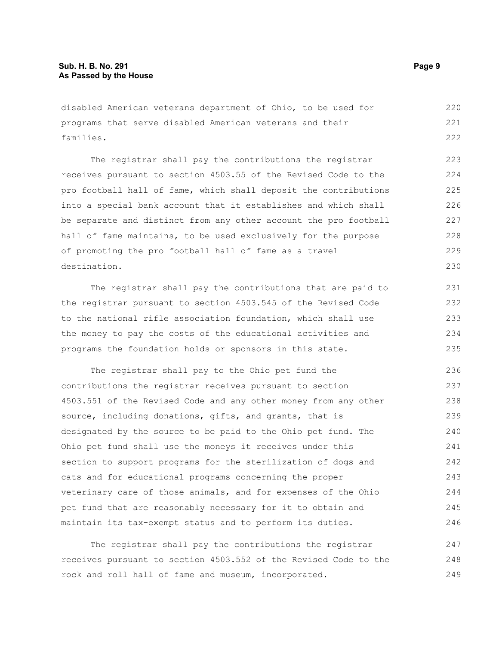disabled American veterans department of Ohio, to be used for programs that serve disabled American veterans and their families. 220 221 222

The registrar shall pay the contributions the registrar receives pursuant to section 4503.55 of the Revised Code to the pro football hall of fame, which shall deposit the contributions into a special bank account that it establishes and which shall be separate and distinct from any other account the pro football hall of fame maintains, to be used exclusively for the purpose of promoting the pro football hall of fame as a travel destination. 223 224 225 226 227 228 229 230

The registrar shall pay the contributions that are paid to the registrar pursuant to section 4503.545 of the Revised Code to the national rifle association foundation, which shall use the money to pay the costs of the educational activities and programs the foundation holds or sponsors in this state.

The registrar shall pay to the Ohio pet fund the contributions the registrar receives pursuant to section 4503.551 of the Revised Code and any other money from any other source, including donations, gifts, and grants, that is designated by the source to be paid to the Ohio pet fund. The Ohio pet fund shall use the moneys it receives under this section to support programs for the sterilization of dogs and cats and for educational programs concerning the proper veterinary care of those animals, and for expenses of the Ohio pet fund that are reasonably necessary for it to obtain and maintain its tax-exempt status and to perform its duties. 236 237 238 239 240 241 242 243 244 245 246

The registrar shall pay the contributions the registrar receives pursuant to section 4503.552 of the Revised Code to the rock and roll hall of fame and museum, incorporated. 247 248 249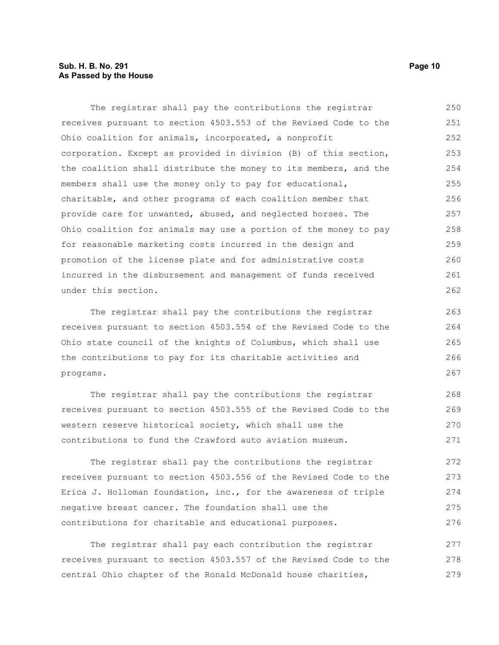#### **Sub. H. B. No. 291 Page 10 As Passed by the House**

The registrar shall pay the contributions the registrar receives pursuant to section 4503.553 of the Revised Code to the Ohio coalition for animals, incorporated, a nonprofit corporation. Except as provided in division (B) of this section, the coalition shall distribute the money to its members, and the members shall use the money only to pay for educational, charitable, and other programs of each coalition member that provide care for unwanted, abused, and neglected horses. The Ohio coalition for animals may use a portion of the money to pay for reasonable marketing costs incurred in the design and promotion of the license plate and for administrative costs incurred in the disbursement and management of funds received under this section. 250 251 252 253 254 255 256 257 258 259 260 261 262

The registrar shall pay the contributions the registrar receives pursuant to section 4503.554 of the Revised Code to the Ohio state council of the knights of Columbus, which shall use the contributions to pay for its charitable activities and programs.

The registrar shall pay the contributions the registrar receives pursuant to section 4503.555 of the Revised Code to the western reserve historical society, which shall use the contributions to fund the Crawford auto aviation museum. 268 269 270 271

The registrar shall pay the contributions the registrar receives pursuant to section 4503.556 of the Revised Code to the Erica J. Holloman foundation, inc., for the awareness of triple negative breast cancer. The foundation shall use the contributions for charitable and educational purposes. 272 273 274 275 276

The registrar shall pay each contribution the registrar receives pursuant to section 4503.557 of the Revised Code to the central Ohio chapter of the Ronald McDonald house charities, 277 278 279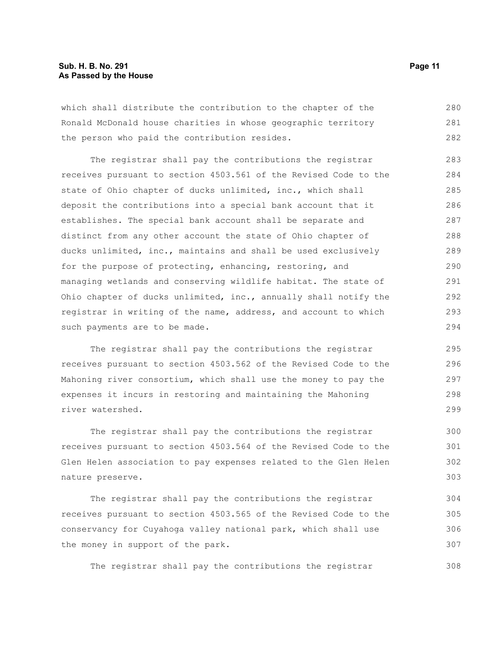which shall distribute the contribution to the chapter of the Ronald McDonald house charities in whose geographic territory the person who paid the contribution resides. 280 281 282

The registrar shall pay the contributions the registrar receives pursuant to section 4503.561 of the Revised Code to the state of Ohio chapter of ducks unlimited, inc., which shall deposit the contributions into a special bank account that it establishes. The special bank account shall be separate and distinct from any other account the state of Ohio chapter of ducks unlimited, inc., maintains and shall be used exclusively for the purpose of protecting, enhancing, restoring, and managing wetlands and conserving wildlife habitat. The state of Ohio chapter of ducks unlimited, inc., annually shall notify the registrar in writing of the name, address, and account to which such payments are to be made. 283 284 285 286 287 288 289 290 291 292 293 294

The registrar shall pay the contributions the registrar receives pursuant to section 4503.562 of the Revised Code to the Mahoning river consortium, which shall use the money to pay the expenses it incurs in restoring and maintaining the Mahoning river watershed.

The registrar shall pay the contributions the registrar receives pursuant to section 4503.564 of the Revised Code to the Glen Helen association to pay expenses related to the Glen Helen nature preserve. 300 301 302 303

The registrar shall pay the contributions the registrar receives pursuant to section 4503.565 of the Revised Code to the conservancy for Cuyahoga valley national park, which shall use the money in support of the park. 304 305 306 307

The registrar shall pay the contributions the registrar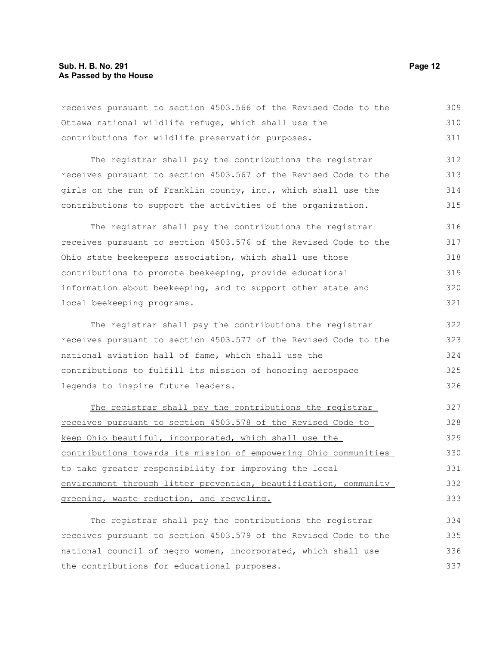receives pursuant to section 4503.566 of the Revised Code to the Ottawa national wildlife refuge, which shall use the contributions for wildlife preservation purposes. 309 310 311

The registrar shall pay the contributions the registrar receives pursuant to section 4503.567 of the Revised Code to the girls on the run of Franklin county, inc., which shall use the contributions to support the activities of the organization. 312 313 314 315

The registrar shall pay the contributions the registrar receives pursuant to section 4503.576 of the Revised Code to the Ohio state beekeepers association, which shall use those contributions to promote beekeeping, provide educational information about beekeeping, and to support other state and local beekeeping programs. 316 317 318 319 320 321

The registrar shall pay the contributions the registrar receives pursuant to section 4503.577 of the Revised Code to the national aviation hall of fame, which shall use the contributions to fulfill its mission of honoring aerospace legends to inspire future leaders. 322 323 324 325 326

The registrar shall pay the contributions the registrar receives pursuant to section 4503.578 of the Revised Code to keep Ohio beautiful, incorporated, which shall use the contributions towards its mission of empowering Ohio communities to take greater responsibility for improving the local environment through litter prevention, beautification, community greening, waste reduction, and recycling. 327 328 329 330 331 332 333

The registrar shall pay the contributions the registrar receives pursuant to section 4503.579 of the Revised Code to the national council of negro women, incorporated, which shall use the contributions for educational purposes. 334 335 336 337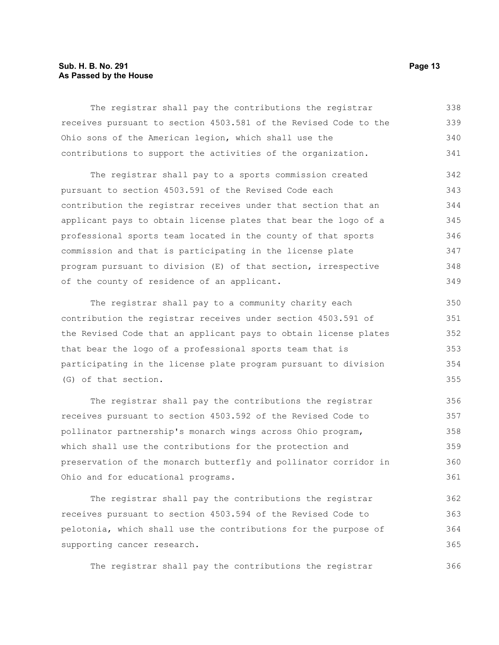#### **Sub. H. B. No. 291 Page 13 As Passed by the House**

The registrar shall pay the contributions the registrar receives pursuant to section 4503.581 of the Revised Code to the Ohio sons of the American legion, which shall use the contributions to support the activities of the organization. 338 339 340 341

The registrar shall pay to a sports commission created pursuant to section 4503.591 of the Revised Code each contribution the registrar receives under that section that an applicant pays to obtain license plates that bear the logo of a professional sports team located in the county of that sports commission and that is participating in the license plate program pursuant to division (E) of that section, irrespective of the county of residence of an applicant. 342 343 344 345 346 347 348 349

The registrar shall pay to a community charity each contribution the registrar receives under section 4503.591 of the Revised Code that an applicant pays to obtain license plates that bear the logo of a professional sports team that is participating in the license plate program pursuant to division (G) of that section. 350 351 352 353 354 355

The registrar shall pay the contributions the registrar receives pursuant to section 4503.592 of the Revised Code to pollinator partnership's monarch wings across Ohio program, which shall use the contributions for the protection and preservation of the monarch butterfly and pollinator corridor in Ohio and for educational programs. 356 357 358 359 360 361

The registrar shall pay the contributions the registrar receives pursuant to section 4503.594 of the Revised Code to pelotonia, which shall use the contributions for the purpose of supporting cancer research. 362 363 364 365

The registrar shall pay the contributions the registrar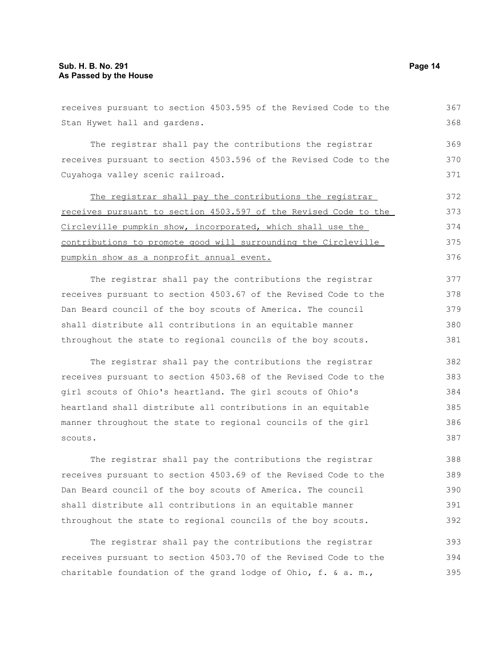| receives pursuant to section 4503.595 of the Revised Code to the | 367 |
|------------------------------------------------------------------|-----|
| Stan Hywet hall and gardens.                                     | 368 |
| The registrar shall pay the contributions the registrar          | 369 |
| receives pursuant to section 4503.596 of the Revised Code to the | 370 |
| Cuyahoga valley scenic railroad.                                 | 371 |
| The registrar shall pay the contributions the registrar          | 372 |
| receives pursuant to section 4503.597 of the Revised Code to the | 373 |
| Circleville pumpkin show, incorporated, which shall use the      | 374 |
| contributions to promote good will surrounding the Circleville   | 375 |
| pumpkin show as a nonprofit annual event.                        | 376 |
| The registrar shall pay the contributions the registrar          | 377 |
| receives pursuant to section 4503.67 of the Revised Code to the  | 378 |
| Dan Beard council of the boy scouts of America. The council      | 379 |
| shall distribute all contributions in an equitable manner        | 380 |
| throughout the state to regional councils of the boy scouts.     | 381 |
| The registrar shall pay the contributions the registrar          | 382 |
| receives pursuant to section 4503.68 of the Revised Code to the  | 383 |
| girl scouts of Ohio's heartland. The girl scouts of Ohio's       | 384 |
| heartland shall distribute all contributions in an equitable     | 385 |
| manner throughout the state to regional councils of the girl     | 386 |
| scouts.                                                          | 387 |
| The registrar shall pay the contributions the registrar          | 388 |
| receives pursuant to section 4503.69 of the Revised Code to the  | 389 |
| Dan Beard council of the boy scouts of America. The council      | 390 |
| shall distribute all contributions in an equitable manner        | 391 |
| throughout the state to regional councils of the boy scouts.     | 392 |
| The registrar shall pay the contributions the registrar          | 393 |
| receives pursuant to section 4503.70 of the Revised Code to the  | 394 |
| charitable foundation of the grand lodge of Ohio, f. & a. m.,    | 395 |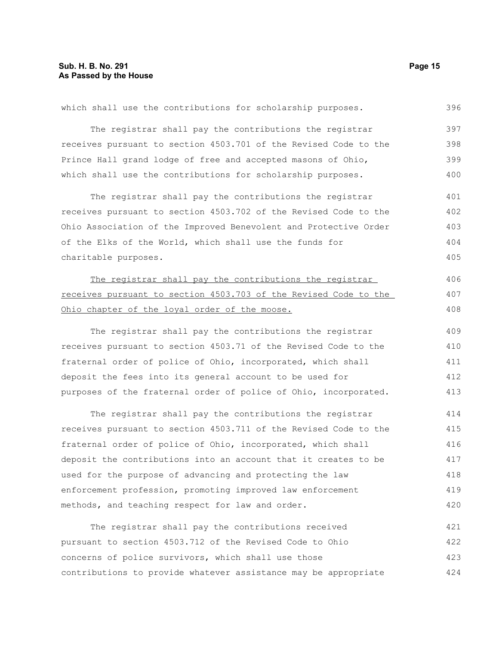| which shall use the contributions for scholarship purposes.      | 396 |
|------------------------------------------------------------------|-----|
| The registrar shall pay the contributions the registrar          | 397 |
| receives pursuant to section 4503.701 of the Revised Code to the | 398 |
| Prince Hall grand lodge of free and accepted masons of Ohio,     | 399 |
| which shall use the contributions for scholarship purposes.      | 400 |
| The registrar shall pay the contributions the registrar          | 401 |
| receives pursuant to section 4503.702 of the Revised Code to the | 402 |
| Ohio Association of the Improved Benevolent and Protective Order | 403 |
| of the Elks of the World, which shall use the funds for          | 404 |
| charitable purposes.                                             | 405 |
| The registrar shall pay the contributions the registrar          | 406 |
| receives pursuant to section 4503.703 of the Revised Code to the | 407 |
| Ohio chapter of the loyal order of the moose.                    | 408 |
| The registrar shall pay the contributions the registrar          | 409 |
| receives pursuant to section 4503.71 of the Revised Code to the  | 410 |
| fraternal order of police of Ohio, incorporated, which shall     | 411 |
| deposit the fees into its general account to be used for         | 412 |
| purposes of the fraternal order of police of Ohio, incorporated. | 413 |
| The registrar shall pay the contributions the registrar          | 414 |
| receives pursuant to section 4503.711 of the Revised Code to the | 415 |
| fraternal order of police of Ohio, incorporated, which shall     | 416 |
| deposit the contributions into an account that it creates to be  | 417 |
| used for the purpose of advancing and protecting the law         | 418 |
| enforcement profession, promoting improved law enforcement       | 419 |
| methods, and teaching respect for law and order.                 | 420 |
| The registrar shall pay the contributions received               | 421 |
| pursuant to section 4503.712 of the Revised Code to Ohio         | 422 |
| concerns of police survivors, which shall use those              | 423 |
| contributions to provide whatever assistance may be appropriate  | 424 |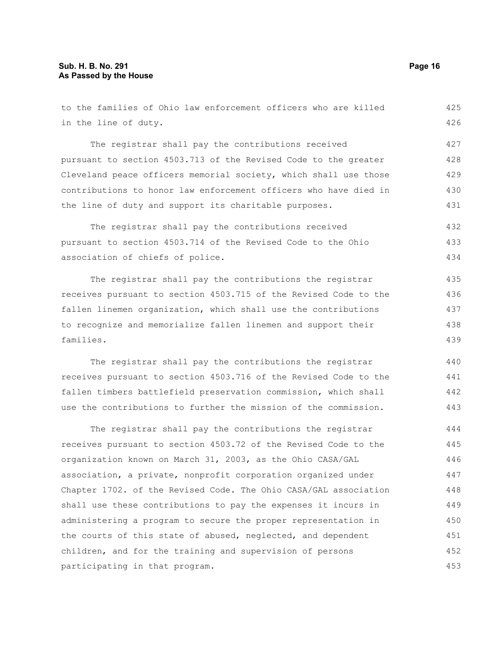families.

in the line of duty. The registrar shall pay the contributions received pursuant to section 4503.713 of the Revised Code to the greater Cleveland peace officers memorial society, which shall use those contributions to honor law enforcement officers who have died in the line of duty and support its charitable purposes. The registrar shall pay the contributions received pursuant to section 4503.714 of the Revised Code to the Ohio association of chiefs of police. The registrar shall pay the contributions the registrar receives pursuant to section 4503.715 of the Revised Code to the fallen linemen organization, which shall use the contributions to recognize and memorialize fallen linemen and support their The registrar shall pay the contributions the registrar receives pursuant to section 4503.716 of the Revised Code to the fallen timbers battlefield preservation commission, which shall 427 428 429 430 431 432 433 434 435 436 437 438 439 440 441 442

to the families of Ohio law enforcement officers who are killed

The registrar shall pay the contributions the registrar receives pursuant to section 4503.72 of the Revised Code to the organization known on March 31, 2003, as the Ohio CASA/GAL association, a private, nonprofit corporation organized under Chapter 1702. of the Revised Code. The Ohio CASA/GAL association shall use these contributions to pay the expenses it incurs in administering a program to secure the proper representation in the courts of this state of abused, neglected, and dependent children, and for the training and supervision of persons participating in that program. 444 445 446 447 448 449 450 451 452 453

use the contributions to further the mission of the commission.

425 426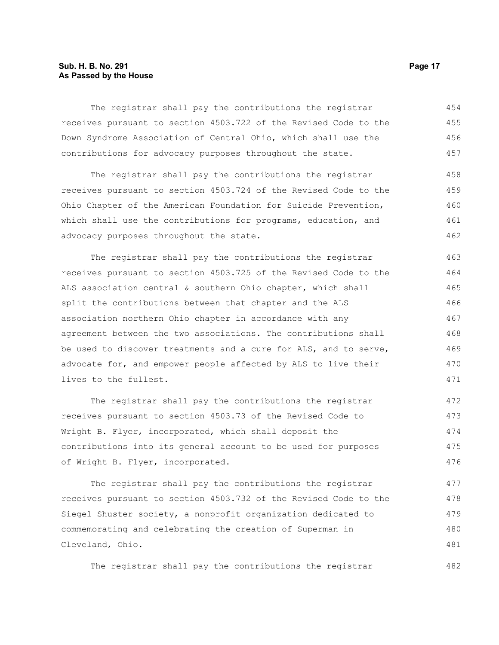#### **Sub. H. B. No. 291 Page 17 As Passed by the House**

The registrar shall pay the contributions the registrar receives pursuant to section 4503.722 of the Revised Code to the Down Syndrome Association of Central Ohio, which shall use the contributions for advocacy purposes throughout the state. 454 455 456 457

The registrar shall pay the contributions the registrar receives pursuant to section 4503.724 of the Revised Code to the Ohio Chapter of the American Foundation for Suicide Prevention, which shall use the contributions for programs, education, and advocacy purposes throughout the state. 458 459 460 461 462

The registrar shall pay the contributions the registrar receives pursuant to section 4503.725 of the Revised Code to the ALS association central & southern Ohio chapter, which shall split the contributions between that chapter and the ALS association northern Ohio chapter in accordance with any agreement between the two associations. The contributions shall be used to discover treatments and a cure for ALS, and to serve, advocate for, and empower people affected by ALS to live their lives to the fullest. 463 464 465 466 467 468 469 470 471

The registrar shall pay the contributions the registrar receives pursuant to section 4503.73 of the Revised Code to Wright B. Flyer, incorporated, which shall deposit the contributions into its general account to be used for purposes of Wright B. Flyer, incorporated. 472 473 474 475 476

The registrar shall pay the contributions the registrar receives pursuant to section 4503.732 of the Revised Code to the Siegel Shuster society, a nonprofit organization dedicated to commemorating and celebrating the creation of Superman in Cleveland, Ohio. 477 478 479 480 481

The registrar shall pay the contributions the registrar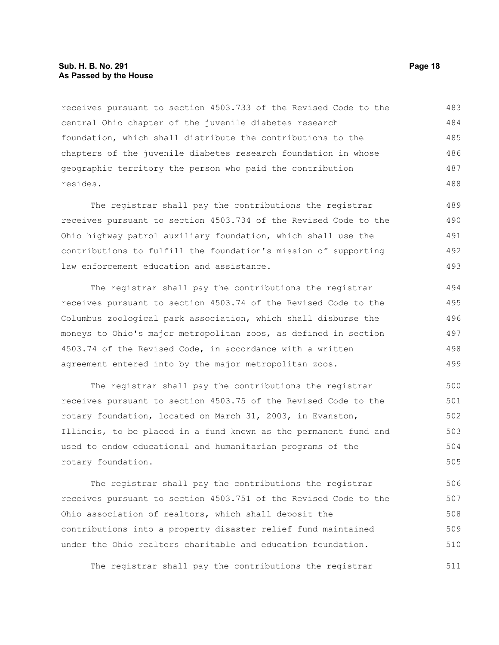#### **Sub. H. B. No. 291 Page 18 As Passed by the House**

receives pursuant to section 4503.733 of the Revised Code to the central Ohio chapter of the juvenile diabetes research foundation, which shall distribute the contributions to the chapters of the juvenile diabetes research foundation in whose geographic territory the person who paid the contribution resides. 483 484 485 486 487 488

The registrar shall pay the contributions the registrar receives pursuant to section 4503.734 of the Revised Code to the Ohio highway patrol auxiliary foundation, which shall use the contributions to fulfill the foundation's mission of supporting law enforcement education and assistance. 489 490 491 492 493

The registrar shall pay the contributions the registrar receives pursuant to section 4503.74 of the Revised Code to the Columbus zoological park association, which shall disburse the moneys to Ohio's major metropolitan zoos, as defined in section 4503.74 of the Revised Code, in accordance with a written agreement entered into by the major metropolitan zoos. 494 495 496 497 498 499

The registrar shall pay the contributions the registrar receives pursuant to section 4503.75 of the Revised Code to the rotary foundation, located on March 31, 2003, in Evanston, Illinois, to be placed in a fund known as the permanent fund and used to endow educational and humanitarian programs of the rotary foundation. 500 501 502 503 504 505

The registrar shall pay the contributions the registrar receives pursuant to section 4503.751 of the Revised Code to the Ohio association of realtors, which shall deposit the contributions into a property disaster relief fund maintained under the Ohio realtors charitable and education foundation. 506 507 508 509 510

The registrar shall pay the contributions the registrar 511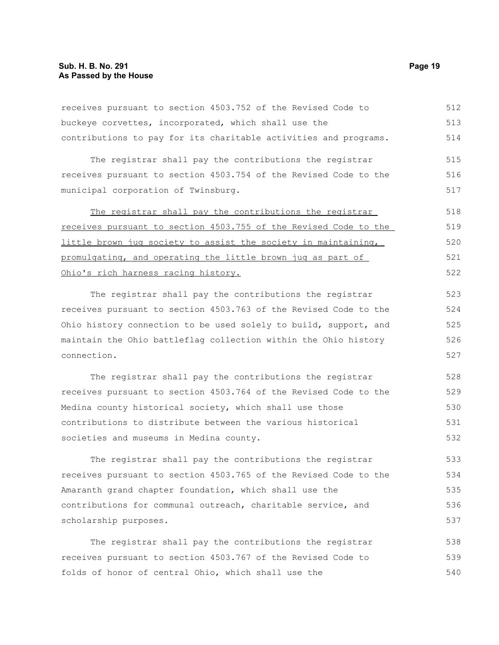#### **Sub. H. B. No. 291 Page 19 As Passed by the House**

receives pursuant to section 4503.752 of the Revised Code to buckeye corvettes, incorporated, which shall use the contributions to pay for its charitable activities and programs. The registrar shall pay the contributions the registrar receives pursuant to section 4503.754 of the Revised Code to the municipal corporation of Twinsburg. The registrar shall pay the contributions the registrar receives pursuant to section 4503.755 of the Revised Code to the little brown jug society to assist the society in maintaining, promulgating, and operating the little brown jug as part of Ohio's rich harness racing history. The registrar shall pay the contributions the registrar receives pursuant to section 4503.763 of the Revised Code to the Ohio history connection to be used solely to build, support, and maintain the Ohio battleflag collection within the Ohio history connection. The registrar shall pay the contributions the registrar receives pursuant to section 4503.764 of the Revised Code to the Medina county historical society, which shall use those contributions to distribute between the various historical societies and museums in Medina county. The registrar shall pay the contributions the registrar receives pursuant to section 4503.765 of the Revised Code to the Amaranth grand chapter foundation, which shall use the contributions for communal outreach, charitable service, and scholarship purposes. The registrar shall pay the contributions the registrar receives pursuant to section 4503.767 of the Revised Code to folds of honor of central Ohio, which shall use the 512 513 514 515 516 517 518 519 520 521 522 523 524 525 526 527 528 529 530 531 532 533 534 535 536 537 538 539 540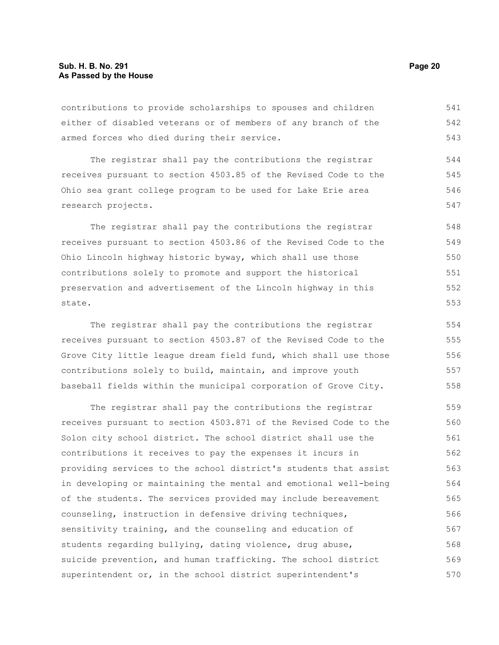contributions to provide scholarships to spouses and children either of disabled veterans or of members of any branch of the armed forces who died during their service. 541 542 543

The registrar shall pay the contributions the registrar receives pursuant to section 4503.85 of the Revised Code to the Ohio sea grant college program to be used for Lake Erie area research projects. 544 545 546 547

The registrar shall pay the contributions the registrar receives pursuant to section 4503.86 of the Revised Code to the Ohio Lincoln highway historic byway, which shall use those contributions solely to promote and support the historical preservation and advertisement of the Lincoln highway in this state. 548 549 550 551 552

The registrar shall pay the contributions the registrar receives pursuant to section 4503.87 of the Revised Code to the Grove City little league dream field fund, which shall use those contributions solely to build, maintain, and improve youth baseball fields within the municipal corporation of Grove City. 554 555 556 557 558

The registrar shall pay the contributions the registrar receives pursuant to section 4503.871 of the Revised Code to the Solon city school district. The school district shall use the contributions it receives to pay the expenses it incurs in providing services to the school district's students that assist in developing or maintaining the mental and emotional well-being of the students. The services provided may include bereavement counseling, instruction in defensive driving techniques, sensitivity training, and the counseling and education of students regarding bullying, dating violence, drug abuse, suicide prevention, and human trafficking. The school district superintendent or, in the school district superintendent's 559 560 561 562 563 564 565 566 567 568 569 570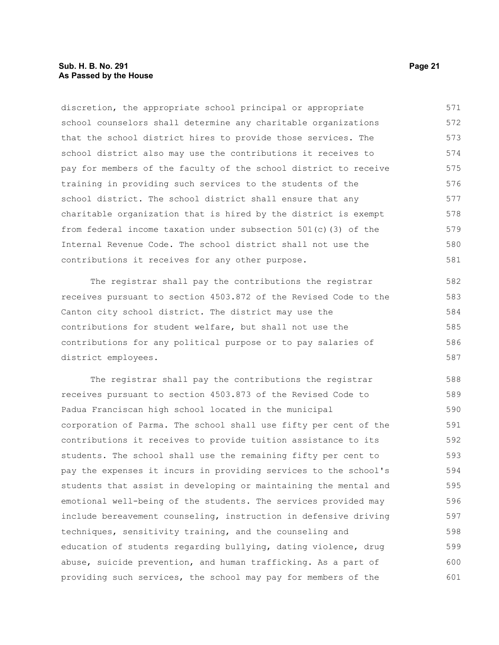#### **Sub. H. B. No. 291 Page 21 As Passed by the House**

discretion, the appropriate school principal or appropriate school counselors shall determine any charitable organizations that the school district hires to provide those services. The school district also may use the contributions it receives to pay for members of the faculty of the school district to receive training in providing such services to the students of the school district. The school district shall ensure that any charitable organization that is hired by the district is exempt from federal income taxation under subsection 501(c)(3) of the Internal Revenue Code. The school district shall not use the contributions it receives for any other purpose. 571 572 573 574 575 576 577 578 579 580 581

The registrar shall pay the contributions the registrar receives pursuant to section 4503.872 of the Revised Code to the Canton city school district. The district may use the contributions for student welfare, but shall not use the contributions for any political purpose or to pay salaries of district employees. 582 583 584 585 586 587

The registrar shall pay the contributions the registrar receives pursuant to section 4503.873 of the Revised Code to Padua Franciscan high school located in the municipal corporation of Parma. The school shall use fifty per cent of the contributions it receives to provide tuition assistance to its students. The school shall use the remaining fifty per cent to pay the expenses it incurs in providing services to the school's students that assist in developing or maintaining the mental and emotional well-being of the students. The services provided may include bereavement counseling, instruction in defensive driving techniques, sensitivity training, and the counseling and education of students regarding bullying, dating violence, drug abuse, suicide prevention, and human trafficking. As a part of providing such services, the school may pay for members of the 588 589 590 591 592 593 594 595 596 597 598 599 600 601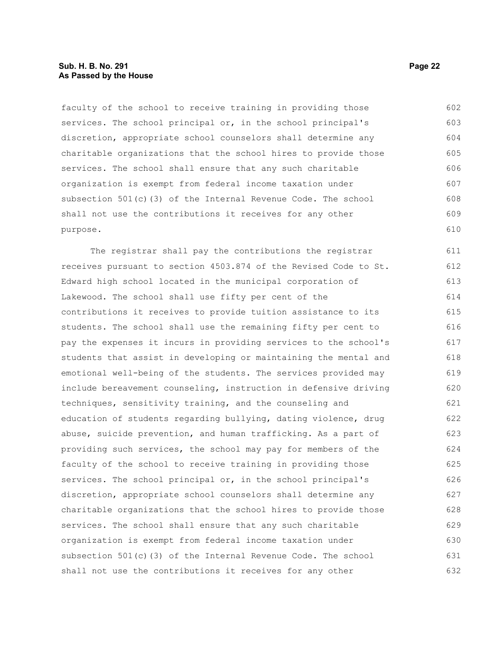#### **Sub. H. B. No. 291 Page 22 As Passed by the House**

faculty of the school to receive training in providing those services. The school principal or, in the school principal's discretion, appropriate school counselors shall determine any charitable organizations that the school hires to provide those services. The school shall ensure that any such charitable organization is exempt from federal income taxation under subsection 501(c)(3) of the Internal Revenue Code. The school shall not use the contributions it receives for any other purpose. 602 603 604 605 606 607 608 609 610

The registrar shall pay the contributions the registrar receives pursuant to section 4503.874 of the Revised Code to St. Edward high school located in the municipal corporation of Lakewood. The school shall use fifty per cent of the contributions it receives to provide tuition assistance to its students. The school shall use the remaining fifty per cent to pay the expenses it incurs in providing services to the school's students that assist in developing or maintaining the mental and emotional well-being of the students. The services provided may include bereavement counseling, instruction in defensive driving techniques, sensitivity training, and the counseling and education of students regarding bullying, dating violence, drug abuse, suicide prevention, and human trafficking. As a part of providing such services, the school may pay for members of the faculty of the school to receive training in providing those services. The school principal or, in the school principal's discretion, appropriate school counselors shall determine any charitable organizations that the school hires to provide those services. The school shall ensure that any such charitable organization is exempt from federal income taxation under subsection 501(c)(3) of the Internal Revenue Code. The school shall not use the contributions it receives for any other 611 612 613 614 615 616 617 618 619 620 621 622 623 624 625 626 627 628 629 630 631 632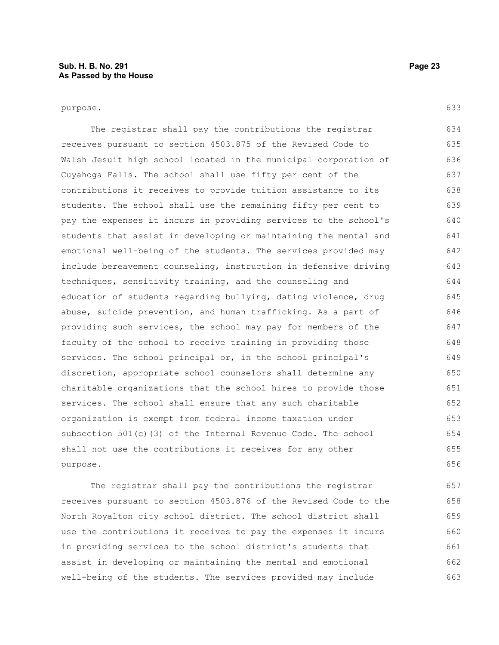The registrar shall pay the contributions the registrar receives pursuant to section 4503.875 of the Revised Code to Walsh Jesuit high school located in the municipal corporation of Cuyahoga Falls. The school shall use fifty per cent of the contributions it receives to provide tuition assistance to its students. The school shall use the remaining fifty per cent to pay the expenses it incurs in providing services to the school's students that assist in developing or maintaining the mental and emotional well-being of the students. The services provided may include bereavement counseling, instruction in defensive driving techniques, sensitivity training, and the counseling and education of students regarding bullying, dating violence, drug abuse, suicide prevention, and human trafficking. As a part of providing such services, the school may pay for members of the faculty of the school to receive training in providing those services. The school principal or, in the school principal's discretion, appropriate school counselors shall determine any charitable organizations that the school hires to provide those services. The school shall ensure that any such charitable organization is exempt from federal income taxation under subsection 501(c)(3) of the Internal Revenue Code. The school shall not use the contributions it receives for any other purpose. 634 635 636 637 638 639 640 641 642 643 644 645 646 647 648 649 650 651 652 653 654 655 656

The registrar shall pay the contributions the registrar receives pursuant to section 4503.876 of the Revised Code to the North Royalton city school district. The school district shall use the contributions it receives to pay the expenses it incurs in providing services to the school district's students that assist in developing or maintaining the mental and emotional well-being of the students. The services provided may include 657 658 659 660 661 662 663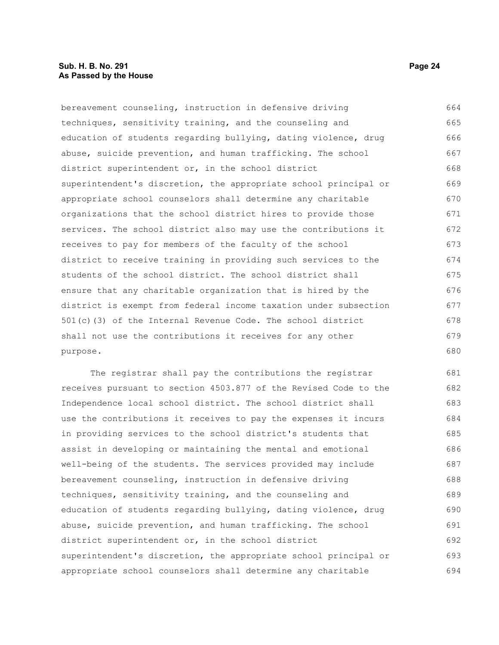bereavement counseling, instruction in defensive driving techniques, sensitivity training, and the counseling and education of students regarding bullying, dating violence, drug abuse, suicide prevention, and human trafficking. The school district superintendent or, in the school district superintendent's discretion, the appropriate school principal or appropriate school counselors shall determine any charitable organizations that the school district hires to provide those services. The school district also may use the contributions it receives to pay for members of the faculty of the school district to receive training in providing such services to the students of the school district. The school district shall ensure that any charitable organization that is hired by the district is exempt from federal income taxation under subsection 501(c)(3) of the Internal Revenue Code. The school district shall not use the contributions it receives for any other purpose. 664 665 666 667 668 669 670 671 672 673 674 675 676 677 678 679 680

The registrar shall pay the contributions the registrar receives pursuant to section 4503.877 of the Revised Code to the Independence local school district. The school district shall use the contributions it receives to pay the expenses it incurs in providing services to the school district's students that assist in developing or maintaining the mental and emotional well-being of the students. The services provided may include bereavement counseling, instruction in defensive driving techniques, sensitivity training, and the counseling and education of students regarding bullying, dating violence, drug abuse, suicide prevention, and human trafficking. The school district superintendent or, in the school district superintendent's discretion, the appropriate school principal or appropriate school counselors shall determine any charitable 681 682 683 684 685 686 687 688 689 690 691 692 693 694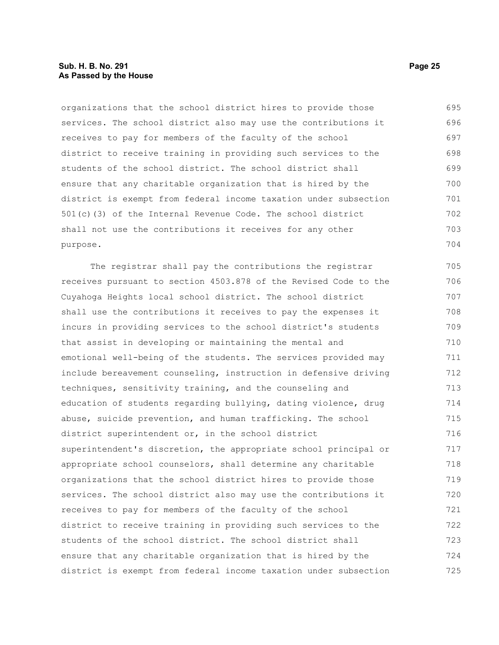#### **Sub. H. B. No. 291 Page 25 As Passed by the House**

organizations that the school district hires to provide those services. The school district also may use the contributions it receives to pay for members of the faculty of the school district to receive training in providing such services to the students of the school district. The school district shall ensure that any charitable organization that is hired by the district is exempt from federal income taxation under subsection 501(c)(3) of the Internal Revenue Code. The school district shall not use the contributions it receives for any other purpose. 695 696 697 698 699 700 701 702 703 704

The registrar shall pay the contributions the registrar receives pursuant to section 4503.878 of the Revised Code to the Cuyahoga Heights local school district. The school district shall use the contributions it receives to pay the expenses it incurs in providing services to the school district's students that assist in developing or maintaining the mental and emotional well-being of the students. The services provided may include bereavement counseling, instruction in defensive driving techniques, sensitivity training, and the counseling and education of students regarding bullying, dating violence, drug abuse, suicide prevention, and human trafficking. The school district superintendent or, in the school district superintendent's discretion, the appropriate school principal or appropriate school counselors, shall determine any charitable organizations that the school district hires to provide those services. The school district also may use the contributions it receives to pay for members of the faculty of the school district to receive training in providing such services to the students of the school district. The school district shall ensure that any charitable organization that is hired by the district is exempt from federal income taxation under subsection 705 706 707 708 709 710 711 712 713 714 715 716 717 718 719 720 721 722 723 724 725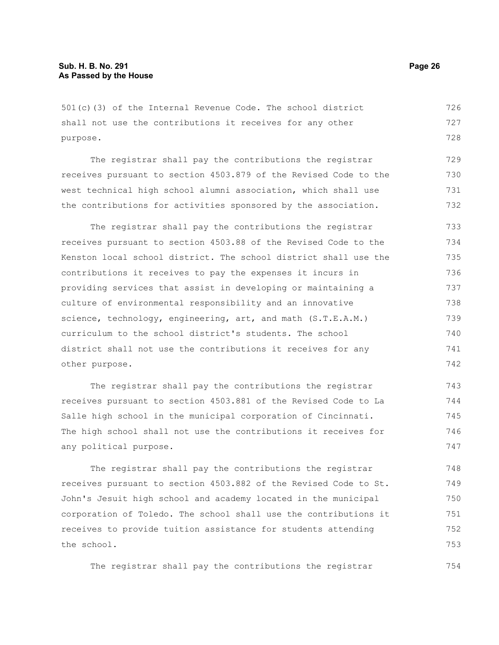501(c)(3) of the Internal Revenue Code. The school district shall not use the contributions it receives for any other purpose. 726 727 728

The registrar shall pay the contributions the registrar receives pursuant to section 4503.879 of the Revised Code to the west technical high school alumni association, which shall use the contributions for activities sponsored by the association. 729 730 731 732

The registrar shall pay the contributions the registrar receives pursuant to section 4503.88 of the Revised Code to the Kenston local school district. The school district shall use the contributions it receives to pay the expenses it incurs in providing services that assist in developing or maintaining a culture of environmental responsibility and an innovative science, technology, engineering, art, and math (S.T.E.A.M.) curriculum to the school district's students. The school district shall not use the contributions it receives for any other purpose. 733 734 735 736 737 738 739 740 741 742

The registrar shall pay the contributions the registrar receives pursuant to section 4503.881 of the Revised Code to La Salle high school in the municipal corporation of Cincinnati. The high school shall not use the contributions it receives for any political purpose. 743 744 745 746 747

The registrar shall pay the contributions the registrar receives pursuant to section 4503.882 of the Revised Code to St. John's Jesuit high school and academy located in the municipal corporation of Toledo. The school shall use the contributions it receives to provide tuition assistance for students attending the school. 748 749 750 751 752 753

The registrar shall pay the contributions the registrar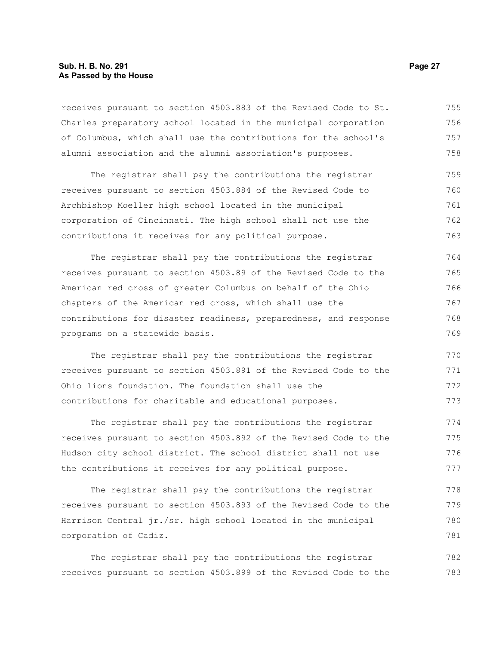#### **Sub. H. B. No. 291 Page 27 As Passed by the House**

receives pursuant to section 4503.883 of the Revised Code to St. Charles preparatory school located in the municipal corporation of Columbus, which shall use the contributions for the school's alumni association and the alumni association's purposes. 755 756 757 758

The registrar shall pay the contributions the registrar receives pursuant to section 4503.884 of the Revised Code to Archbishop Moeller high school located in the municipal corporation of Cincinnati. The high school shall not use the contributions it receives for any political purpose. 759 760 761 762 763

The registrar shall pay the contributions the registrar receives pursuant to section 4503.89 of the Revised Code to the American red cross of greater Columbus on behalf of the Ohio chapters of the American red cross, which shall use the contributions for disaster readiness, preparedness, and response programs on a statewide basis. 764 765 766 767 768 769

The registrar shall pay the contributions the registrar receives pursuant to section 4503.891 of the Revised Code to the Ohio lions foundation. The foundation shall use the contributions for charitable and educational purposes. 770 771 772 773

The registrar shall pay the contributions the registrar receives pursuant to section 4503.892 of the Revised Code to the Hudson city school district. The school district shall not use the contributions it receives for any political purpose. 774 775 776 777

The registrar shall pay the contributions the registrar receives pursuant to section 4503.893 of the Revised Code to the Harrison Central jr./sr. high school located in the municipal corporation of Cadiz. 778 779 780 781

The registrar shall pay the contributions the registrar receives pursuant to section 4503.899 of the Revised Code to the 782 783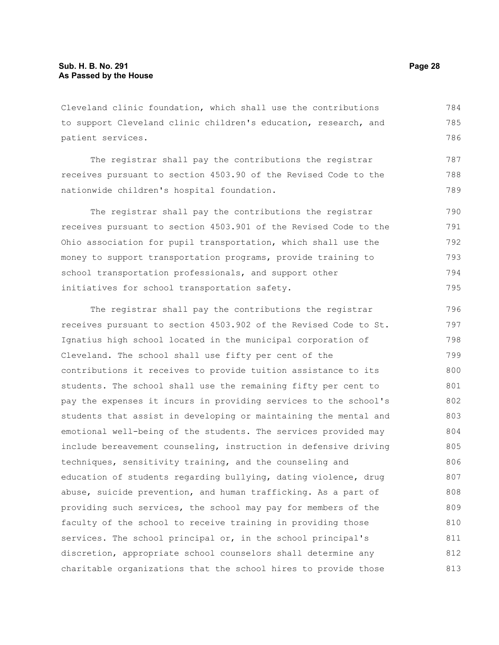Cleveland clinic foundation, which shall use the contributions to support Cleveland clinic children's education, research, and patient services. 784 785 786

The registrar shall pay the contributions the registrar receives pursuant to section 4503.90 of the Revised Code to the nationwide children's hospital foundation.

The registrar shall pay the contributions the registrar receives pursuant to section 4503.901 of the Revised Code to the Ohio association for pupil transportation, which shall use the money to support transportation programs, provide training to school transportation professionals, and support other initiatives for school transportation safety. 790 791 792 793 794 795

The registrar shall pay the contributions the registrar receives pursuant to section 4503.902 of the Revised Code to St. Ignatius high school located in the municipal corporation of Cleveland. The school shall use fifty per cent of the contributions it receives to provide tuition assistance to its students. The school shall use the remaining fifty per cent to pay the expenses it incurs in providing services to the school's students that assist in developing or maintaining the mental and emotional well-being of the students. The services provided may include bereavement counseling, instruction in defensive driving techniques, sensitivity training, and the counseling and education of students regarding bullying, dating violence, drug abuse, suicide prevention, and human trafficking. As a part of providing such services, the school may pay for members of the faculty of the school to receive training in providing those services. The school principal or, in the school principal's discretion, appropriate school counselors shall determine any charitable organizations that the school hires to provide those 796 797 798 799 800 801 802 803 804 805 806 807 808 809 810 811 812 813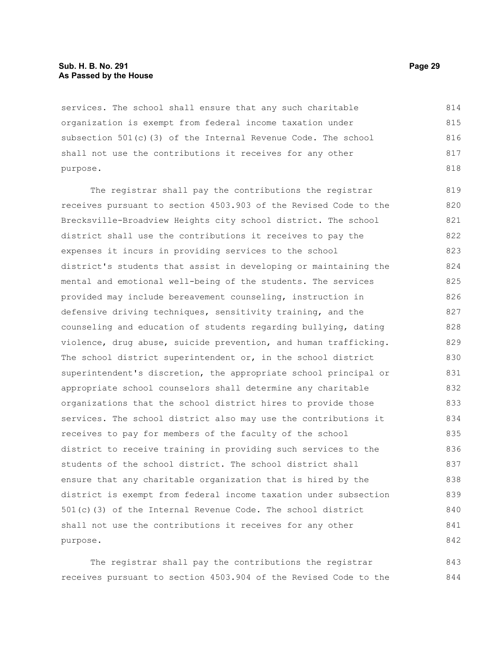#### **Sub. H. B. No. 291 Page 29 As Passed by the House**

services. The school shall ensure that any such charitable organization is exempt from federal income taxation under subsection 501(c)(3) of the Internal Revenue Code. The school shall not use the contributions it receives for any other purpose. 814 815 816 817 818

The registrar shall pay the contributions the registrar receives pursuant to section 4503.903 of the Revised Code to the Brecksville-Broadview Heights city school district. The school district shall use the contributions it receives to pay the expenses it incurs in providing services to the school district's students that assist in developing or maintaining the mental and emotional well-being of the students. The services provided may include bereavement counseling, instruction in defensive driving techniques, sensitivity training, and the counseling and education of students regarding bullying, dating violence, drug abuse, suicide prevention, and human trafficking. The school district superintendent or, in the school district superintendent's discretion, the appropriate school principal or appropriate school counselors shall determine any charitable organizations that the school district hires to provide those services. The school district also may use the contributions it receives to pay for members of the faculty of the school district to receive training in providing such services to the students of the school district. The school district shall ensure that any charitable organization that is hired by the district is exempt from federal income taxation under subsection 501(c)(3) of the Internal Revenue Code. The school district shall not use the contributions it receives for any other purpose. 819 820 821 822 823 824 825 826 827 828 829 830 831 832 833 834 835 836 837 838 839 840 841 842

The registrar shall pay the contributions the registrar receives pursuant to section 4503.904 of the Revised Code to the 843 844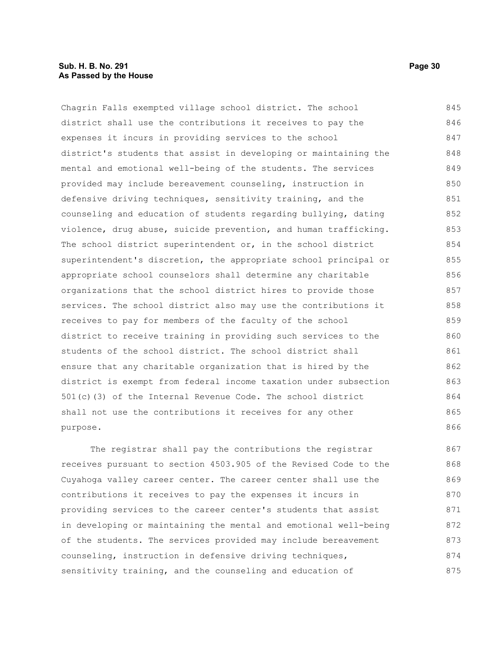#### **Sub. H. B. No. 291 Page 30 As Passed by the House**

Chagrin Falls exempted village school district. The school district shall use the contributions it receives to pay the expenses it incurs in providing services to the school district's students that assist in developing or maintaining the mental and emotional well-being of the students. The services provided may include bereavement counseling, instruction in defensive driving techniques, sensitivity training, and the counseling and education of students regarding bullying, dating violence, drug abuse, suicide prevention, and human trafficking. The school district superintendent or, in the school district superintendent's discretion, the appropriate school principal or appropriate school counselors shall determine any charitable organizations that the school district hires to provide those services. The school district also may use the contributions it receives to pay for members of the faculty of the school district to receive training in providing such services to the students of the school district. The school district shall ensure that any charitable organization that is hired by the district is exempt from federal income taxation under subsection 501(c)(3) of the Internal Revenue Code. The school district shall not use the contributions it receives for any other purpose. 845 846 847 848 849 850 851 852 853 854 855 856 857 858 859 860 861 862 863 864 865 866

The registrar shall pay the contributions the registrar receives pursuant to section 4503.905 of the Revised Code to the Cuyahoga valley career center. The career center shall use the contributions it receives to pay the expenses it incurs in providing services to the career center's students that assist in developing or maintaining the mental and emotional well-being of the students. The services provided may include bereavement counseling, instruction in defensive driving techniques, sensitivity training, and the counseling and education of 867 868 869 870 871 872 873 874 875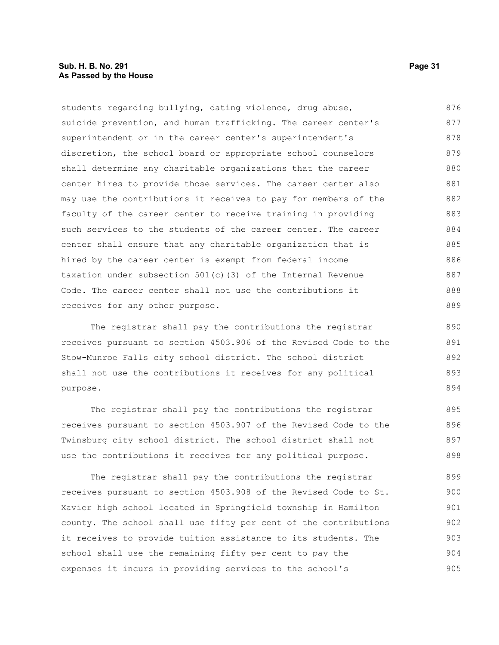students regarding bullying, dating violence, drug abuse, suicide prevention, and human trafficking. The career center's superintendent or in the career center's superintendent's discretion, the school board or appropriate school counselors shall determine any charitable organizations that the career center hires to provide those services. The career center also may use the contributions it receives to pay for members of the faculty of the career center to receive training in providing such services to the students of the career center. The career center shall ensure that any charitable organization that is hired by the career center is exempt from federal income taxation under subsection 501(c)(3) of the Internal Revenue Code. The career center shall not use the contributions it receives for any other purpose. 876 877 878 879 880 881 882 883 884 885 886 887 888 889

The registrar shall pay the contributions the registrar receives pursuant to section 4503.906 of the Revised Code to the Stow-Munroe Falls city school district. The school district shall not use the contributions it receives for any political purpose.

The registrar shall pay the contributions the registrar receives pursuant to section 4503.907 of the Revised Code to the Twinsburg city school district. The school district shall not use the contributions it receives for any political purpose. 895 896 897 898

The registrar shall pay the contributions the registrar receives pursuant to section 4503.908 of the Revised Code to St. Xavier high school located in Springfield township in Hamilton county. The school shall use fifty per cent of the contributions it receives to provide tuition assistance to its students. The school shall use the remaining fifty per cent to pay the expenses it incurs in providing services to the school's 899 900 901 902 903 904 905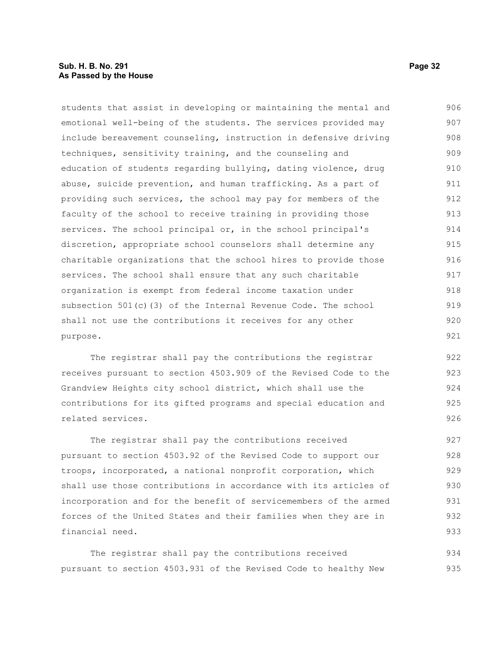students that assist in developing or maintaining the mental and emotional well-being of the students. The services provided may include bereavement counseling, instruction in defensive driving techniques, sensitivity training, and the counseling and education of students regarding bullying, dating violence, drug abuse, suicide prevention, and human trafficking. As a part of providing such services, the school may pay for members of the faculty of the school to receive training in providing those services. The school principal or, in the school principal's discretion, appropriate school counselors shall determine any charitable organizations that the school hires to provide those services. The school shall ensure that any such charitable organization is exempt from federal income taxation under subsection 501(c)(3) of the Internal Revenue Code. The school shall not use the contributions it receives for any other purpose. 906 907 908 909 910 911 912 913 914 915 916 917 918 919 920 921

The registrar shall pay the contributions the registrar receives pursuant to section 4503.909 of the Revised Code to the Grandview Heights city school district, which shall use the contributions for its gifted programs and special education and related services.

The registrar shall pay the contributions received pursuant to section 4503.92 of the Revised Code to support our troops, incorporated, a national nonprofit corporation, which shall use those contributions in accordance with its articles of incorporation and for the benefit of servicemembers of the armed forces of the United States and their families when they are in financial need. 927 928 929 930 931 932 933

The registrar shall pay the contributions received pursuant to section 4503.931 of the Revised Code to healthy New 934 935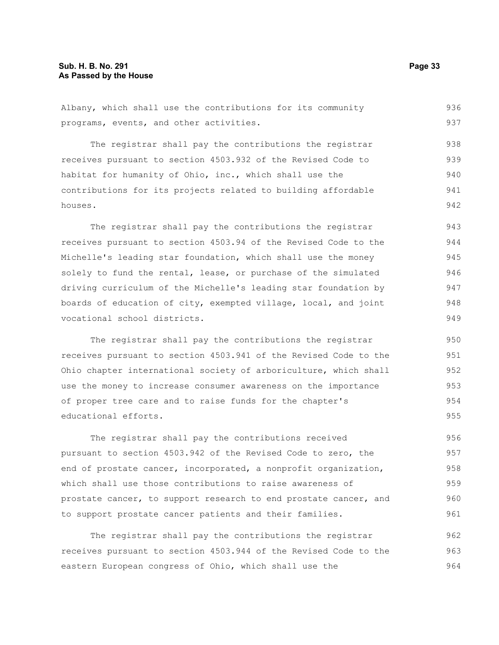Albany, which shall use the contributions for its community programs, events, and other activities. 936 937

The registrar shall pay the contributions the registrar receives pursuant to section 4503.932 of the Revised Code to habitat for humanity of Ohio, inc., which shall use the contributions for its projects related to building affordable houses. 938 939 940 941 942

The registrar shall pay the contributions the registrar receives pursuant to section 4503.94 of the Revised Code to the Michelle's leading star foundation, which shall use the money solely to fund the rental, lease, or purchase of the simulated driving curriculum of the Michelle's leading star foundation by boards of education of city, exempted village, local, and joint vocational school districts. 943 944 945 946 947 948

The registrar shall pay the contributions the registrar receives pursuant to section 4503.941 of the Revised Code to the Ohio chapter international society of arboriculture, which shall use the money to increase consumer awareness on the importance of proper tree care and to raise funds for the chapter's educational efforts.

The registrar shall pay the contributions received pursuant to section 4503.942 of the Revised Code to zero, the end of prostate cancer, incorporated, a nonprofit organization, which shall use those contributions to raise awareness of prostate cancer, to support research to end prostate cancer, and to support prostate cancer patients and their families. 956 957 958 959 960 961

The registrar shall pay the contributions the registrar receives pursuant to section 4503.944 of the Revised Code to the eastern European congress of Ohio, which shall use the 962 963 964

949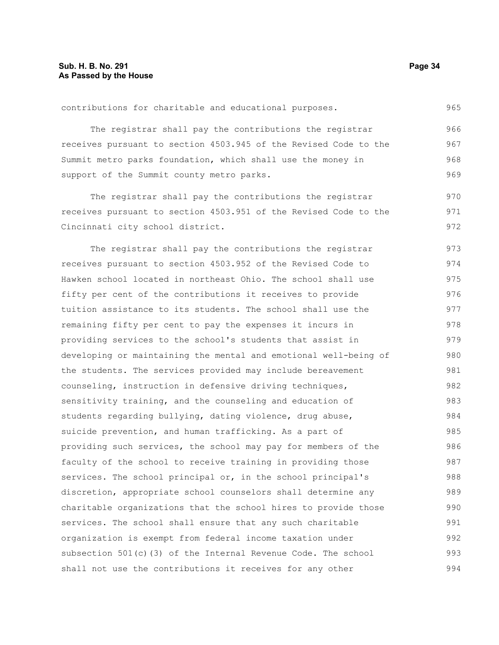contributions for charitable and educational purposes. 965

The registrar shall pay the contributions the registrar receives pursuant to section 4503.945 of the Revised Code to the Summit metro parks foundation, which shall use the money in support of the Summit county metro parks. 966 967 968 969

The registrar shall pay the contributions the registrar receives pursuant to section 4503.951 of the Revised Code to the Cincinnati city school district. 970 971 972

The registrar shall pay the contributions the registrar receives pursuant to section 4503.952 of the Revised Code to Hawken school located in northeast Ohio. The school shall use fifty per cent of the contributions it receives to provide tuition assistance to its students. The school shall use the remaining fifty per cent to pay the expenses it incurs in providing services to the school's students that assist in developing or maintaining the mental and emotional well-being of the students. The services provided may include bereavement counseling, instruction in defensive driving techniques, sensitivity training, and the counseling and education of students regarding bullying, dating violence, drug abuse, suicide prevention, and human trafficking. As a part of providing such services, the school may pay for members of the faculty of the school to receive training in providing those services. The school principal or, in the school principal's discretion, appropriate school counselors shall determine any charitable organizations that the school hires to provide those services. The school shall ensure that any such charitable organization is exempt from federal income taxation under subsection  $501(c)(3)$  of the Internal Revenue Code. The school shall not use the contributions it receives for any other 973 974 975 976 977 978 979 980 981 982 983 984 985 986 987 988 989 990 991 992 993 994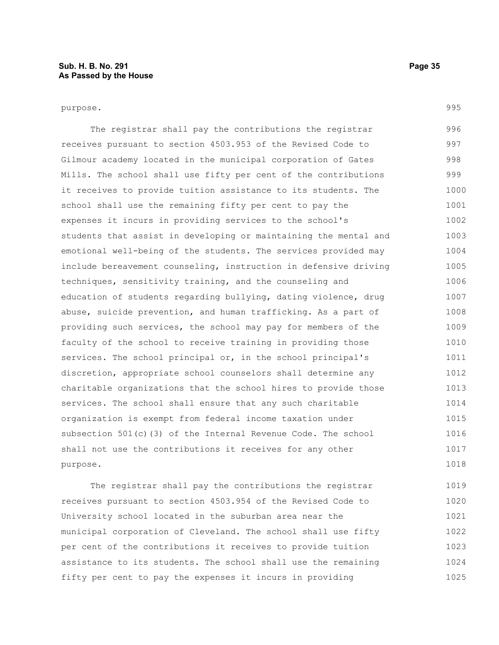The registrar shall pay the contributions the registrar receives pursuant to section 4503.953 of the Revised Code to Gilmour academy located in the municipal corporation of Gates Mills. The school shall use fifty per cent of the contributions it receives to provide tuition assistance to its students. The school shall use the remaining fifty per cent to pay the expenses it incurs in providing services to the school's students that assist in developing or maintaining the mental and emotional well-being of the students. The services provided may include bereavement counseling, instruction in defensive driving techniques, sensitivity training, and the counseling and education of students regarding bullying, dating violence, drug abuse, suicide prevention, and human trafficking. As a part of providing such services, the school may pay for members of the faculty of the school to receive training in providing those services. The school principal or, in the school principal's discretion, appropriate school counselors shall determine any charitable organizations that the school hires to provide those services. The school shall ensure that any such charitable organization is exempt from federal income taxation under subsection 501(c)(3) of the Internal Revenue Code. The school shall not use the contributions it receives for any other purpose. 996 997 998 999 1000 1001 1002 1003 1004 1005 1006 1007 1008 1009 1010 1011 1012 1013 1014 1015 1016 1017 1018

The registrar shall pay the contributions the registrar receives pursuant to section 4503.954 of the Revised Code to University school located in the suburban area near the municipal corporation of Cleveland. The school shall use fifty per cent of the contributions it receives to provide tuition assistance to its students. The school shall use the remaining fifty per cent to pay the expenses it incurs in providing 1019 1020 1021 1022 1023 1024 1025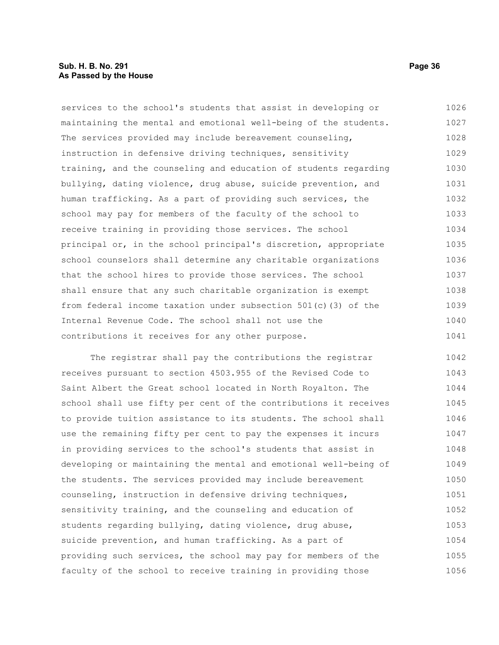#### **Sub. H. B. No. 291 Page 36 As Passed by the House**

services to the school's students that assist in developing or maintaining the mental and emotional well-being of the students. The services provided may include bereavement counseling, instruction in defensive driving techniques, sensitivity training, and the counseling and education of students regarding bullying, dating violence, drug abuse, suicide prevention, and human trafficking. As a part of providing such services, the school may pay for members of the faculty of the school to receive training in providing those services. The school principal or, in the school principal's discretion, appropriate school counselors shall determine any charitable organizations that the school hires to provide those services. The school shall ensure that any such charitable organization is exempt from federal income taxation under subsection 501(c)(3) of the Internal Revenue Code. The school shall not use the contributions it receives for any other purpose. 1026 1027 1028 1029 1030 1031 1032 1033 1034 1035 1036 1037 1038 1039 1040 1041

The registrar shall pay the contributions the registrar receives pursuant to section 4503.955 of the Revised Code to Saint Albert the Great school located in North Royalton. The school shall use fifty per cent of the contributions it receives to provide tuition assistance to its students. The school shall use the remaining fifty per cent to pay the expenses it incurs in providing services to the school's students that assist in developing or maintaining the mental and emotional well-being of the students. The services provided may include bereavement counseling, instruction in defensive driving techniques, sensitivity training, and the counseling and education of students regarding bullying, dating violence, drug abuse, suicide prevention, and human trafficking. As a part of providing such services, the school may pay for members of the faculty of the school to receive training in providing those 1042 1043 1044 1045 1046 1047 1048 1049 1050 1051 1052 1053 1054 1055 1056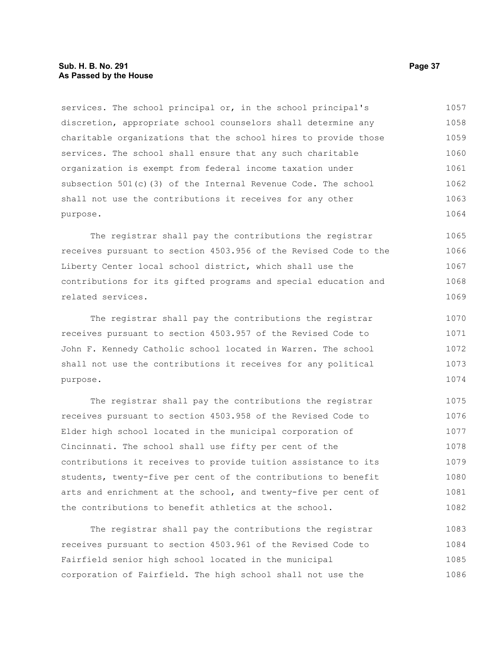#### **Sub. H. B. No. 291 Page 37 As Passed by the House**

services. The school principal or, in the school principal's discretion, appropriate school counselors shall determine any charitable organizations that the school hires to provide those services. The school shall ensure that any such charitable organization is exempt from federal income taxation under subsection 501(c)(3) of the Internal Revenue Code. The school shall not use the contributions it receives for any other purpose. 1057 1058 1059 1060 1061 1062 1063 1064

The registrar shall pay the contributions the registrar receives pursuant to section 4503.956 of the Revised Code to the Liberty Center local school district, which shall use the contributions for its gifted programs and special education and related services. 1065 1066 1067 1068 1069

The registrar shall pay the contributions the registrar receives pursuant to section 4503.957 of the Revised Code to John F. Kennedy Catholic school located in Warren. The school shall not use the contributions it receives for any political purpose. 1070 1071 1072 1073 1074

The registrar shall pay the contributions the registrar receives pursuant to section 4503.958 of the Revised Code to Elder high school located in the municipal corporation of Cincinnati. The school shall use fifty per cent of the contributions it receives to provide tuition assistance to its students, twenty-five per cent of the contributions to benefit arts and enrichment at the school, and twenty-five per cent of the contributions to benefit athletics at the school. 1075 1076 1077 1078 1079 1080 1081 1082

The registrar shall pay the contributions the registrar receives pursuant to section 4503.961 of the Revised Code to Fairfield senior high school located in the municipal corporation of Fairfield. The high school shall not use the 1083 1084 1085 1086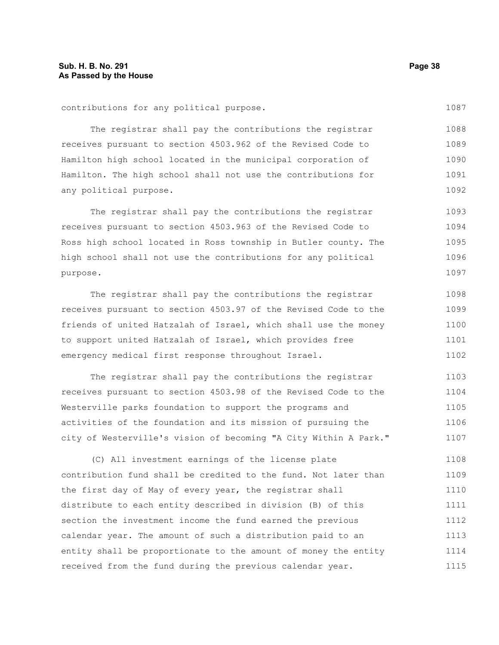The registrar shall pay the contributions the registrar receives pursuant to section 4503.962 of the Revised Code to Hamilton high school located in the municipal corporation of Hamilton. The high school shall not use the contributions for any political purpose. 1088 1089 1090 1091 1092

The registrar shall pay the contributions the registrar receives pursuant to section 4503.963 of the Revised Code to Ross high school located in Ross township in Butler county. The high school shall not use the contributions for any political purpose. 1093 1094 1095 1096 1097

The registrar shall pay the contributions the registrar receives pursuant to section 4503.97 of the Revised Code to the friends of united Hatzalah of Israel, which shall use the money to support united Hatzalah of Israel, which provides free emergency medical first response throughout Israel. 1098 1099 1100 1101 1102

The registrar shall pay the contributions the registrar receives pursuant to section 4503.98 of the Revised Code to the Westerville parks foundation to support the programs and activities of the foundation and its mission of pursuing the city of Westerville's vision of becoming "A City Within A Park." 1103 1104 1105 1106 1107

(C) All investment earnings of the license plate contribution fund shall be credited to the fund. Not later than the first day of May of every year, the registrar shall distribute to each entity described in division (B) of this section the investment income the fund earned the previous calendar year. The amount of such a distribution paid to an entity shall be proportionate to the amount of money the entity received from the fund during the previous calendar year. 1108 1109 1110 1111 1112 1113 1114 1115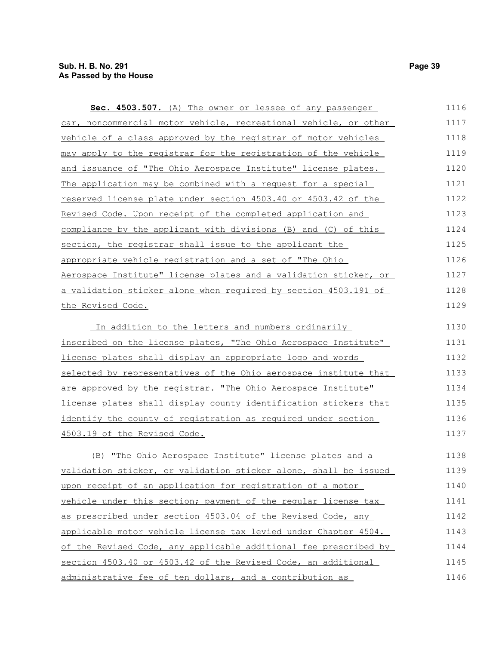| Sec. 4503.507. (A) The owner or lessee of any passenger          | 1116 |
|------------------------------------------------------------------|------|
| car, noncommercial motor vehicle, recreational vehicle, or other | 1117 |
| vehicle of a class approved by the registrar of motor vehicles   | 1118 |
| may apply to the registrar for the registration of the vehicle   | 1119 |
| and issuance of "The Ohio Aerospace Institute" license plates.   | 1120 |
| The application may be combined with a request for a special     | 1121 |
| reserved license plate under section 4503.40 or 4503.42 of the   | 1122 |
| Revised Code. Upon receipt of the completed application and      | 1123 |
| compliance by the applicant with divisions (B) and (C) of this   | 1124 |
| section, the registrar shall issue to the applicant the          | 1125 |
| appropriate vehicle registration and a set of "The Ohio          | 1126 |
| Aerospace Institute" license plates and a validation sticker, or | 1127 |
| a validation sticker alone when required by section 4503.191 of  | 1128 |
| the Revised Code.                                                | 1129 |
| In addition to the letters and numbers ordinarily                | 1130 |
| inscribed on the license plates, "The Ohio Aerospace Institute"  | 1131 |
| license plates shall display an appropriate logo and words       | 1132 |
| selected by representatives of the Ohio aerospace institute that | 1133 |
| are approved by the registrar. "The Ohio Aerospace Institute"    | 1134 |
| license plates shall display county identification stickers that | 1135 |
| identify the county of registration as required under section    | 1136 |
| 4503.19 of the Revised Code.                                     | 1137 |
|                                                                  |      |
| (B) "The Ohio Aerospace Institute" license plates and a          | 1138 |
| validation sticker, or validation sticker alone, shall be issued | 1139 |
| upon receipt of an application for registration of a motor       | 1140 |
| vehicle under this section; payment of the regular license tax   | 1141 |
| as prescribed under section 4503.04 of the Revised Code, any     | 1142 |
| applicable motor vehicle license tax levied under Chapter 4504.  | 1143 |
| of the Revised Code, any applicable additional fee prescribed by | 1144 |
| section 4503.40 or 4503.42 of the Revised Code, an additional    | 1145 |
| administrative fee of ten dollars, and a contribution as         | 1146 |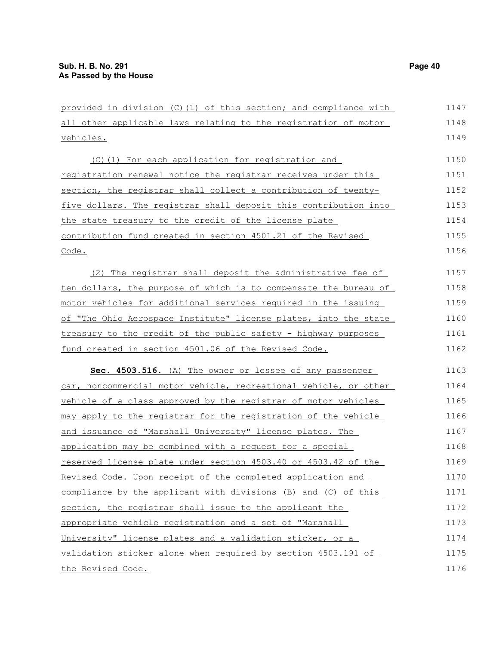| provided in division (C)(1) of this section; and compliance with | 1147 |
|------------------------------------------------------------------|------|
| all other applicable laws relating to the registration of motor  | 1148 |
| <u>vehicles.</u>                                                 | 1149 |
| (C)(1) For each application for registration and                 | 1150 |
| registration renewal notice the registrar receives under this    | 1151 |
| section, the registrar shall collect a contribution of twenty-   | 1152 |
| five dollars. The registrar shall deposit this contribution into | 1153 |
| the state treasury to the credit of the license plate            | 1154 |
| contribution fund created in section 4501.21 of the Revised      | 1155 |
| Code.                                                            | 1156 |
| (2) The registrar shall deposit the administrative fee of        | 1157 |
| ten dollars, the purpose of which is to compensate the bureau of | 1158 |
| motor vehicles for additional services required in the issuing   | 1159 |
| of "The Ohio Aerospace Institute" license plates, into the state | 1160 |
| treasury to the credit of the public safety - highway purposes   | 1161 |
| fund created in section 4501.06 of the Revised Code.             | 1162 |
| Sec. 4503.516. (A) The owner or lessee of any passenger          | 1163 |
| car, noncommercial motor vehicle, recreational vehicle, or other | 1164 |
| vehicle of a class approved by the registrar of motor vehicles   | 1165 |
| may apply to the registrar for the registration of the vehicle   | 1166 |
| and issuance of "Marshall University" license plates. The        | 1167 |
| application may be combined with a request for a special         | 1168 |
| reserved license plate under section 4503.40 or 4503.42 of the   | 1169 |
| Revised Code. Upon receipt of the completed application and      | 1170 |
| compliance by the applicant with divisions (B) and (C) of this   | 1171 |
| section, the registrar shall issue to the applicant the          | 1172 |
| appropriate vehicle registration and a set of "Marshall          | 1173 |
| University" license plates and a validation sticker, or a        | 1174 |
| validation sticker alone when required by section 4503.191 of    | 1175 |
| the Revised Code.                                                | 1176 |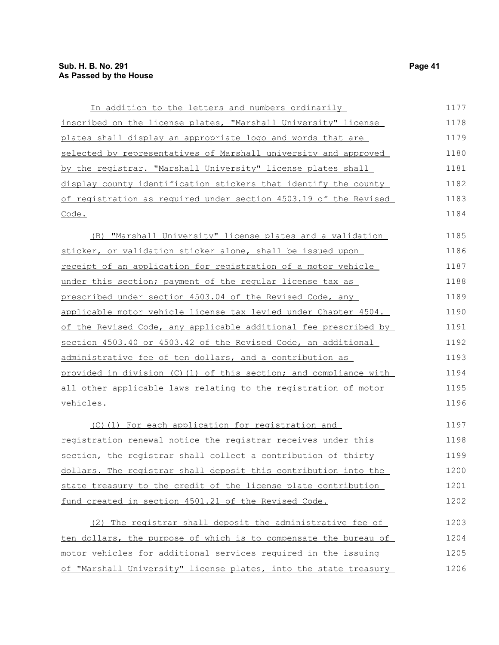| In addition to the letters and numbers ordinarily                | 1177 |
|------------------------------------------------------------------|------|
| inscribed on the license plates, "Marshall University" license   | 1178 |
| plates shall display an appropriate logo and words that are      | 1179 |
| selected by representatives of Marshall university and approved  | 1180 |
| by the registrar. "Marshall University" license plates shall     | 1181 |
| display county identification stickers that identify the county  | 1182 |
| of registration as reguired under section 4503.19 of the Revised | 1183 |
| Code.                                                            | 1184 |
|                                                                  |      |

(B) "Marshall University" license plates and a validation sticker, or validation sticker alone, shall be issued upon receipt of an application for registration of a motor vehicle under this section; payment of the regular license tax as prescribed under section 4503.04 of the Revised Code, any applicable motor vehicle license tax levied under Chapter 4504. of the Revised Code, any applicable additional fee prescribed by section 4503.40 or 4503.42 of the Revised Code, an additional administrative fee of ten dollars, and a contribution as provided in division (C)(1) of this section; and compliance with all other applicable laws relating to the registration of motor vehicles. 1185 1186 1187 1188 1189 1190 1191 1192 1193 1194 1195 1196

(C)(1) For each application for registration and registration renewal notice the registrar receives under this section, the registrar shall collect a contribution of thirty dollars. The registrar shall deposit this contribution into the state treasury to the credit of the license plate contribution fund created in section 4501.21 of the Revised Code. 1197 1198 1199 1200 1201 1202

| (2) The registrar shall deposit the administrative fee of        | 1203 |
|------------------------------------------------------------------|------|
| ten dollars, the purpose of which is to compensate the bureau of | 1204 |
| motor vehicles for additional services required in the issuing   | 1205 |
| of "Marshall University" license plates, into the state treasury | 1206 |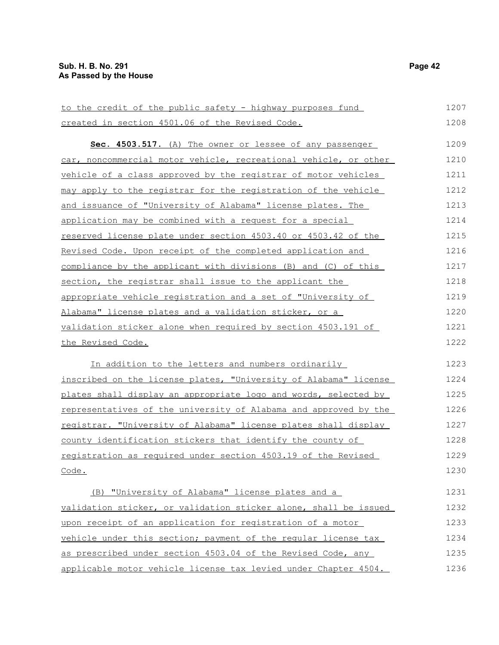to the credit of the public safety - highway purposes fund created in section 4501.06 of the Revised Code. **Sec. 4503.517.** (A) The owner or lessee of any passenger car, noncommercial motor vehicle, recreational vehicle, or other vehicle of a class approved by the registrar of motor vehicles may apply to the registrar for the registration of the vehicle and issuance of "University of Alabama" license plates. The application may be combined with a request for a special reserved license plate under section 4503.40 or 4503.42 of the Revised Code. Upon receipt of the completed application and compliance by the applicant with divisions (B) and (C) of this section, the registrar shall issue to the applicant the appropriate vehicle registration and a set of "University of Alabama" license plates and a validation sticker, or a validation sticker alone when required by section 4503.191 of the Revised Code. In addition to the letters and numbers ordinarily inscribed on the license plates, "University of Alabama" license plates shall display an appropriate logo and words, selected by representatives of the university of Alabama and approved by the registrar. "University of Alabama" license plates shall display county identification stickers that identify the county of registration as required under section 4503.19 of the Revised Code. (B) "University of Alabama" license plates and a validation sticker, or validation sticker alone, shall be issued upon receipt of an application for registration of a motor vehicle under this section; payment of the regular license tax as prescribed under section 4503.04 of the Revised Code, any 1207 1208 1209 1210 1211 1212 1213 1214 1215 1216 1217 1218 1219 1220 1221 1222 1223 1224 1225 1226 1227 1228 1229 1230 1231 1232 1233 1234 1235

applicable motor vehicle license tax levied under Chapter 4504.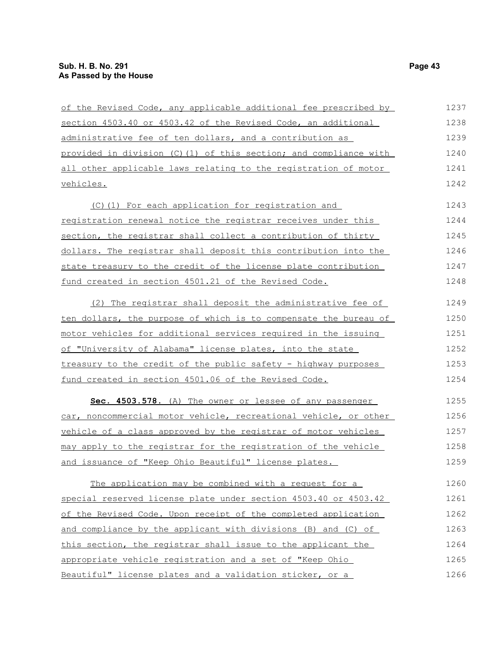| of the Revised Code, any applicable additional fee prescribed by | 1237 |
|------------------------------------------------------------------|------|
| section 4503.40 or 4503.42 of the Revised Code, an additional    | 1238 |
| administrative fee of ten dollars, and a contribution as         | 1239 |
| provided in division (C)(1) of this section; and compliance with | 1240 |
| all other applicable laws relating to the registration of motor  | 1241 |
| vehicles.                                                        | 1242 |
| (C)(1) For each application for registration and                 | 1243 |
| registration renewal notice the registrar receives under this    | 1244 |
| section, the registrar shall collect a contribution of thirty    | 1245 |
| dollars. The registrar shall deposit this contribution into the  | 1246 |
| state treasury to the credit of the license plate contribution   | 1247 |
| fund created in section 4501.21 of the Revised Code.             | 1248 |
| (2) The registrar shall deposit the administrative fee of        | 1249 |
| ten dollars, the purpose of which is to compensate the bureau of | 1250 |
| motor vehicles for additional services required in the issuing   | 1251 |
| of "University of Alabama" license plates, into the state        | 1252 |
| treasury to the credit of the public safety - highway purposes   | 1253 |
| fund created in section 4501.06 of the Revised Code.             | 1254 |
| Sec. 4503.578. (A) The owner or lessee of any passenger          | 1255 |
| car, noncommercial motor vehicle, recreational vehicle, or other | 1256 |
| vehicle of a class approved by the registrar of motor vehicles   | 1257 |
| may apply to the registrar for the registration of the vehicle   | 1258 |
| and issuance of "Keep Ohio Beautiful" license plates.            | 1259 |
| The application may be combined with a request for a             | 1260 |
| special reserved license plate under section 4503.40 or 4503.42  | 1261 |
| of the Revised Code. Upon receipt of the completed application   | 1262 |
| and compliance by the applicant with divisions (B) and (C) of    | 1263 |
| this section, the registrar shall issue to the applicant the     | 1264 |
| appropriate vehicle registration and a set of "Keep Ohio         | 1265 |
| Beautiful" license plates and a validation sticker, or a         | 1266 |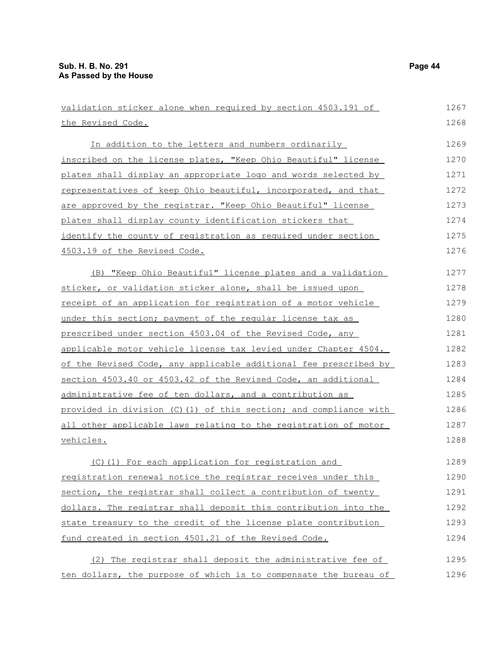| validation sticker alone when required by section 4503.191 of    | 1267 |
|------------------------------------------------------------------|------|
| the Revised Code.                                                | 1268 |
| In addition to the letters and numbers ordinarily                | 1269 |
| inscribed on the license plates, "Keep Ohio Beautiful" license   | 1270 |
| plates shall display an appropriate logo and words selected by   | 1271 |
| representatives of keep Ohio beautiful, incorporated, and that   | 1272 |
| are approved by the registrar. "Keep Ohio Beautiful" license     | 1273 |
| plates shall display county identification stickers that         | 1274 |
| identify the county of registration as required under section    | 1275 |
| 4503.19 of the Revised Code.                                     | 1276 |
| (B) "Keep Ohio Beautiful" license plates and a validation        | 1277 |
| sticker, or validation sticker alone, shall be issued upon       | 1278 |
| receipt of an application for registration of a motor vehicle    | 1279 |
| under this section; payment of the reqular license tax as        | 1280 |
| prescribed under section 4503.04 of the Revised Code, any        | 1281 |
| applicable motor vehicle license tax levied under Chapter 4504.  | 1282 |
| of the Revised Code, any applicable additional fee prescribed by | 1283 |
| section 4503.40 or 4503.42 of the Revised Code, an additional    | 1284 |
| administrative fee of ten dollars, and a contribution as         | 1285 |
| provided in division (C)(1) of this section; and compliance with | 1286 |
| all other applicable laws relating to the registration of motor  | 1287 |
| vehicles.                                                        | 1288 |
| (C) (1) For each application for registration and                | 1289 |
| registration renewal notice the registrar receives under this    | 1290 |
| section, the registrar shall collect a contribution of twenty    | 1291 |
| dollars. The registrar shall deposit this contribution into the  | 1292 |
| state treasury to the credit of the license plate contribution   | 1293 |
| fund created in section 4501.21 of the Revised Code.             | 1294 |
| (2) The registrar shall deposit the administrative fee of        | 1295 |
| ten dollars, the purpose of which is to compensate the bureau of | 1296 |
|                                                                  |      |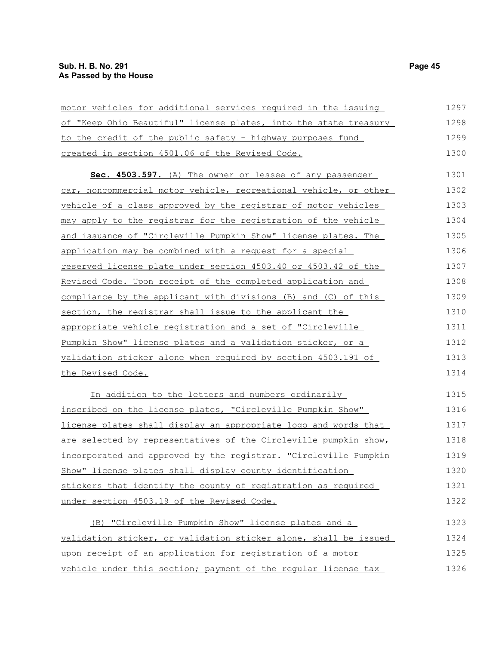| motor vehicles for additional services required in the issuing   | 1297 |
|------------------------------------------------------------------|------|
| of "Keep Ohio Beautiful" license plates, into the state treasury | 1298 |
| to the credit of the public safety - highway purposes fund       | 1299 |
| created in section 4501.06 of the Revised Code.                  | 1300 |
| Sec. 4503.597. (A) The owner or lessee of any passenger          | 1301 |
| car, noncommercial motor vehicle, recreational vehicle, or other | 1302 |
| vehicle of a class approved by the registrar of motor vehicles   | 1303 |
| may apply to the registrar for the registration of the vehicle   | 1304 |
| and issuance of "Circleville Pumpkin Show" license plates. The   | 1305 |
| application may be combined with a request for a special         | 1306 |
| reserved license plate under section 4503.40 or 4503.42 of the   | 1307 |
| Revised Code. Upon receipt of the completed application and      | 1308 |
| compliance by the applicant with divisions (B) and (C) of this   | 1309 |
| section, the registrar shall issue to the applicant the          | 1310 |
| appropriate vehicle registration and a set of "Circleville       | 1311 |
| Pumpkin Show" license plates and a validation sticker, or a      | 1312 |
| validation sticker alone when required by section 4503.191 of    | 1313 |
| the Revised Code.                                                | 1314 |
| In addition to the letters and numbers ordinarily                | 1315 |
| inscribed on the license plates, "Circleville Pumpkin Show"      | 1316 |
| license plates shall display an appropriate logo and words that  | 1317 |
| are selected by representatives of the Circleville pumpkin show, | 1318 |
| incorporated and approved by the registrar. "Circleville Pumpkin | 1319 |
| Show" license plates shall display county identification         | 1320 |
| stickers that identify the county of registration as required    | 1321 |
| under section 4503.19 of the Revised Code.                       | 1322 |
| (B) "Circleville Pumpkin Show" license plates and a              | 1323 |
| validation sticker, or validation sticker alone, shall be issued | 1324 |
|                                                                  |      |

upon receipt of an application for registration of a motor vehicle under this section; payment of the regular license tax 1325 1326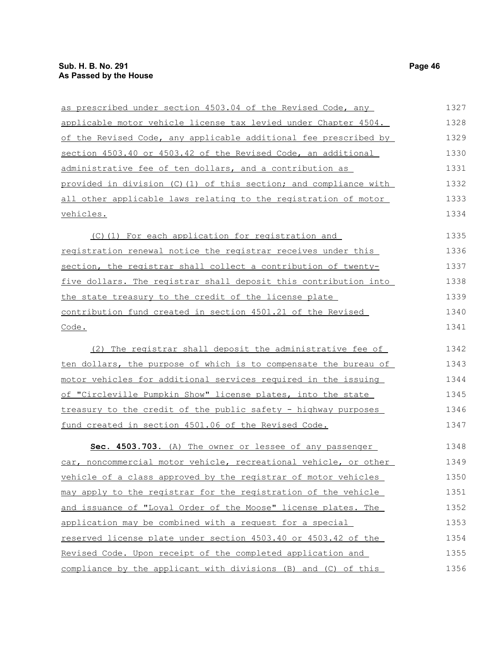| as prescribed under section 4503.04 of the Revised Code, any      | 1327 |
|-------------------------------------------------------------------|------|
| applicable motor vehicle license tax levied under Chapter 4504.   | 1328 |
| of the Revised Code, any applicable additional fee prescribed by  | 1329 |
| section 4503.40 or 4503.42 of the Revised Code, an additional     | 1330 |
| administrative fee of ten dollars, and a contribution as          | 1331 |
| provided in division (C) (1) of this section; and compliance with | 1332 |
| all other applicable laws relating to the registration of motor   | 1333 |
| vehicles.                                                         | 1334 |
| (C)(1) For each application for registration and                  | 1335 |
| registration renewal notice the registrar receives under this     | 1336 |
| section, the registrar shall collect a contribution of twenty-    | 1337 |
| five dollars. The registrar shall deposit this contribution into  | 1338 |
| the state treasury to the credit of the license plate             | 1339 |
| contribution fund created in section 4501.21 of the Revised       | 1340 |
| Code.                                                             | 1341 |
| (2) The registrar shall deposit the administrative fee of         | 1342 |
| ten dollars, the purpose of which is to compensate the bureau of  | 1343 |
| motor vehicles for additional services required in the issuing    | 1344 |
| of "Circleville Pumpkin Show" license plates, into the state      | 1345 |
| treasury to the credit of the public safety - highway purposes    | 1346 |
| fund created in section 4501.06 of the Revised Code.              | 1347 |
| Sec. 4503.703. (A) The owner or lessee of any passenger           | 1348 |
| car, noncommercial motor vehicle, recreational vehicle, or other  | 1349 |
| vehicle of a class approved by the registrar of motor vehicles    | 1350 |
| may apply to the registrar for the registration of the vehicle    | 1351 |
| and issuance of "Loyal Order of the Moose" license plates. The    | 1352 |
| application may be combined with a request for a special          | 1353 |
| reserved license plate under section 4503.40 or 4503.42 of the    | 1354 |
| Revised Code. Upon receipt of the completed application and       | 1355 |
| compliance by the applicant with divisions (B) and (C) of this    | 1356 |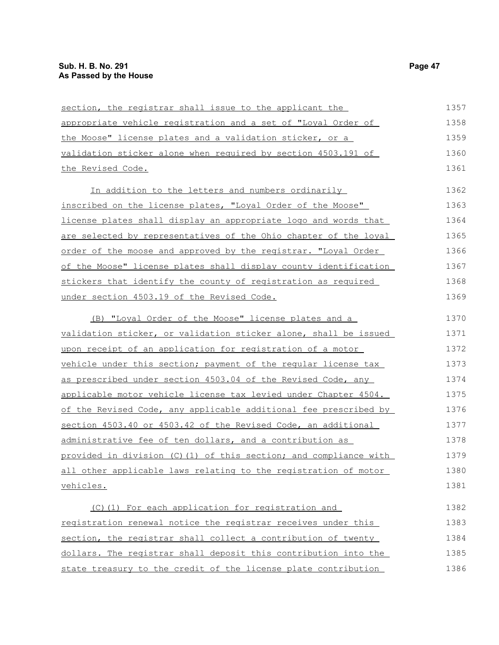| section, the registrar shall issue to the applicant the                | 1357 |
|------------------------------------------------------------------------|------|
| appropriate vehicle registration and a set of "Loyal Order of          | 1358 |
| the Moose" license plates and a validation sticker, or a               | 1359 |
| validation sticker alone when required by section 4503.191 of          | 1360 |
| the Revised Code.                                                      | 1361 |
| In addition to the letters and numbers ordinarily                      | 1362 |
| inscribed on the license plates, "Loyal Order of the Moose"            | 1363 |
| license plates shall display an appropriate logo and words that        | 1364 |
| are selected by representatives of the Ohio chapter of the loyal       | 1365 |
| order of the moose and approved by the registrar. "Loyal Order         | 1366 |
| of the Moose" license plates shall display county identification       | 1367 |
| stickers that identify the county of registration as required          | 1368 |
| under section 4503.19 of the Revised Code.                             | 1369 |
| (B) "Loyal Order of the Moose" license plates and a                    | 1370 |
| validation sticker, or validation sticker alone, shall be issued       | 1371 |
| upon receipt of an application for registration of a motor             | 1372 |
| vehicle under this section; payment of the regular license tax         | 1373 |
| as prescribed under section 4503.04 of the Revised Code, any           | 1374 |
| <u>applicable motor vehicle license tax levied under Chapter 4504.</u> | 1375 |
| of the Revised Code, any applicable additional fee prescribed by       | 1376 |
| section 4503.40 or 4503.42 of the Revised Code, an additional          | 1377 |
| administrative fee of ten dollars, and a contribution as               | 1378 |
| provided in division (C)(1) of this section; and compliance with       | 1379 |
| all other applicable laws relating to the registration of motor        | 1380 |
| vehicles.                                                              | 1381 |
| (C)(1) For each application for registration and                       | 1382 |
| registration renewal notice the registrar receives under this          | 1383 |
| section, the registrar shall collect a contribution of twenty          | 1384 |
| dollars. The registrar shall deposit this contribution into the        | 1385 |
| state treasury to the credit of the license plate contribution         | 1386 |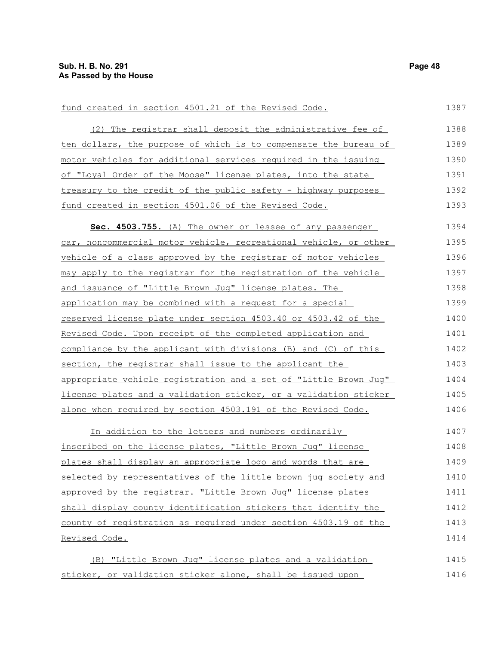#### fund created in section 4501.21 of the Revised Code.

| (2) The registrar shall deposit the administrative fee of        | 1388 |
|------------------------------------------------------------------|------|
| ten dollars, the purpose of which is to compensate the bureau of | 1389 |
| motor vehicles for additional services required in the issuing   | 1390 |
| of "Loyal Order of the Moose" license plates, into the state     | 1391 |
| treasury to the credit of the public safety - highway purposes   | 1392 |
| fund created in section 4501.06 of the Revised Code.             | 1393 |

 **Sec. 4503.755.** (A) The owner or lessee of any passenger car, noncommercial motor vehicle, recreational vehicle, or other vehicle of a class approved by the registrar of motor vehicles may apply to the registrar for the registration of the vehicle and issuance of "Little Brown Jug" license plates. The application may be combined with a request for a special reserved license plate under section 4503.40 or 4503.42 of the Revised Code. Upon receipt of the completed application and compliance by the applicant with divisions (B) and (C) of this section, the registrar shall issue to the applicant the appropriate vehicle registration and a set of "Little Brown Jug" license plates and a validation sticker, or a validation sticker alone when required by section 4503.191 of the Revised Code. 1394 1395 1396 1397 1398 1399 1400 1401 1402 1403 1404 1405 1406

In addition to the letters and numbers ordinarily inscribed on the license plates, "Little Brown Jug" license plates shall display an appropriate logo and words that are selected by representatives of the little brown jug society and approved by the registrar. "Little Brown Jug" license plates shall display county identification stickers that identify the county of registration as required under section 4503.19 of the Revised Code. 1407 1408 1409 1410 1411 1412 1413 1414

(B) "Little Brown Jug" license plates and a validation sticker, or validation sticker alone, shall be issued upon 1415 1416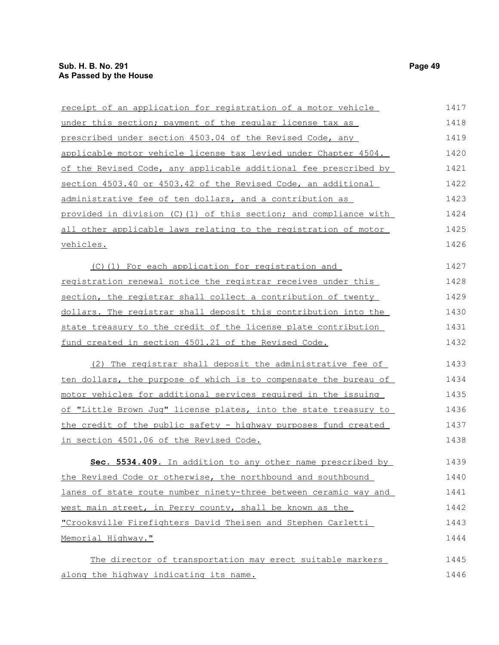| receipt of an application for registration of a motor vehicle     | 1417 |
|-------------------------------------------------------------------|------|
| under this section; payment of the regular license tax as         | 1418 |
| prescribed under section 4503.04 of the Revised Code, any         | 1419 |
| applicable motor vehicle license tax levied under Chapter 4504.   | 1420 |
| of the Revised Code, any applicable additional fee prescribed by  | 1421 |
| section 4503.40 or 4503.42 of the Revised Code, an additional     | 1422 |
| administrative fee of ten dollars, and a contribution as          | 1423 |
| provided in division (C) (1) of this section; and compliance with | 1424 |
| all other applicable laws relating to the registration of motor   | 1425 |
| vehicles.                                                         | 1426 |
| (C)(1) For each application for registration and                  | 1427 |
| registration renewal notice the registrar receives under this     | 1428 |
| section, the registrar shall collect a contribution of twenty     | 1429 |
| dollars. The registrar shall deposit this contribution into the   | 1430 |
| state treasury to the credit of the license plate contribution    | 1431 |
| fund created in section 4501.21 of the Revised Code.              | 1432 |
| (2) The registrar shall deposit the administrative fee of         | 1433 |
| ten dollars, the purpose of which is to compensate the bureau of  | 1434 |
| motor vehicles for additional services required in the issuing    | 1435 |
| of "Little Brown Juq" license plates, into the state treasury to  | 1436 |
| the credit of the public safety - highway purposes fund created   | 1437 |
| in section 4501.06 of the Revised Code.                           | 1438 |
| Sec. 5534.409. In addition to any other name prescribed by        | 1439 |
| the Revised Code or otherwise, the northbound and southbound      | 1440 |
| lanes of state route number ninety-three between ceramic way and  | 1441 |
| west main street, in Perry county, shall be known as the          | 1442 |
| "Crooksville Firefighters David Theisen and Stephen Carletti      | 1443 |
| Memorial Highway."                                                | 1444 |
| The director of transportation may erect suitable markers         | 1445 |
| along the highway indicating its name.                            | 1446 |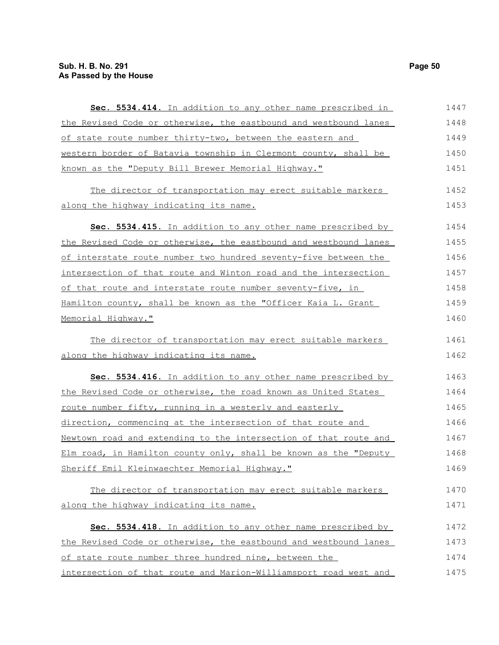| Sec. 5534.414. In addition to any other name prescribed in       | 1447 |
|------------------------------------------------------------------|------|
| the Revised Code or otherwise, the eastbound and westbound lanes | 1448 |
| of state route number thirty-two, between the eastern and        | 1449 |
| western border of Batavia township in Clermont county, shall be  | 1450 |
| known as the "Deputy Bill Brewer Memorial Highway."              | 1451 |
| The director of transportation may erect suitable markers        | 1452 |
| along the highway indicating its name.                           | 1453 |
| Sec. 5534.415. In addition to any other name prescribed by       | 1454 |
| the Revised Code or otherwise, the eastbound and westbound lanes | 1455 |
| of interstate route number two hundred seventy-five between the  | 1456 |
| intersection of that route and Winton road and the intersection  | 1457 |
| of that route and interstate route number seventy-five, in       | 1458 |
| Hamilton county, shall be known as the "Officer Kaia L. Grant    | 1459 |
| Memorial Highway."                                               | 1460 |
| The director of transportation may erect suitable markers        | 1461 |
| along the highway indicating its name.                           | 1462 |
| Sec. 5534.416. In addition to any other name prescribed by       | 1463 |
| the Revised Code or otherwise, the road known as United States   | 1464 |
| <u>route number fifty, running in a westerly and easterly</u>    | 1465 |
| direction, commencing at the intersection of that route and      | 1466 |
| Newtown road and extending to the intersection of that route and | 1467 |
| Elm road, in Hamilton county only, shall be known as the "Deputy | 1468 |
| Sheriff Emil Kleinwaechter Memorial Highway."                    | 1469 |
| The director of transportation may erect suitable markers        | 1470 |
| along the highway indicating its name.                           | 1471 |
| Sec. 5534.418. In addition to any other name prescribed by       | 1472 |
| the Revised Code or otherwise, the eastbound and westbound lanes | 1473 |
| of state route number three hundred nine, between the            | 1474 |
| intersection of that route and Marion-Williamsport road west and | 1475 |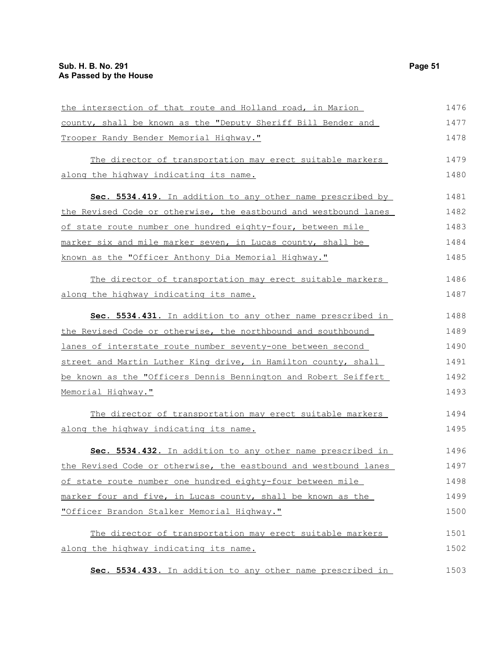| the intersection of that route and Holland road, in Marion       | 1476 |
|------------------------------------------------------------------|------|
| county, shall be known as the "Deputy Sheriff Bill Bender and    | 1477 |
| Trooper Randy Bender Memorial Highway."                          | 1478 |
| The director of transportation may erect suitable markers        | 1479 |
| along the highway indicating its name.                           | 1480 |
| Sec. 5534.419. In addition to any other name prescribed by       | 1481 |
| the Revised Code or otherwise, the eastbound and westbound lanes | 1482 |
| of state route number one hundred eighty-four, between mile      | 1483 |
| marker six and mile marker seven, in Lucas county, shall be      | 1484 |
| known as the "Officer Anthony Dia Memorial Highway."             | 1485 |
| The director of transportation may erect suitable markers        | 1486 |
| along the highway indicating its name.                           | 1487 |
| Sec. 5534.431. In addition to any other name prescribed in       | 1488 |
| the Revised Code or otherwise, the northbound and southbound     | 1489 |
| lanes of interstate route number seventy-one between second      | 1490 |
| street and Martin Luther King drive, in Hamilton county, shall   | 1491 |
| be known as the "Officers Dennis Bennington and Robert Seiffert  | 1492 |
| Memorial Highway."                                               | 1493 |
| The director of transportation may erect suitable markers        | 1494 |
| along the highway indicating its name.                           | 1495 |
| Sec. 5534.432. In addition to any other name prescribed in       | 1496 |
| the Revised Code or otherwise, the eastbound and westbound lanes | 1497 |
| of state route number one hundred eighty-four between mile       | 1498 |
| marker four and five, in Lucas county, shall be known as the     | 1499 |
| "Officer Brandon Stalker Memorial Highway."                      | 1500 |
| The director of transportation may erect suitable markers        | 1501 |
| along the highway indicating its name.                           | 1502 |
| Sec. 5534.433. In addition to any other name prescribed in       | 1503 |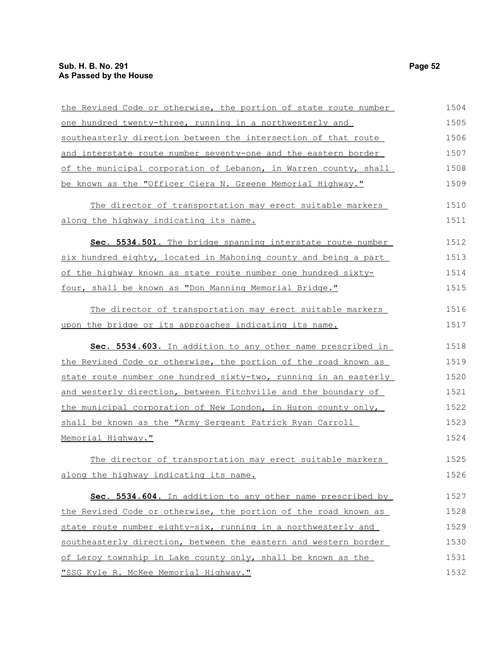| the Revised Code or otherwise, the portion of state route number | 1504 |
|------------------------------------------------------------------|------|
| one hundred twenty-three, running in a northwesterly and         | 1505 |
| southeasterly direction between the intersection of that route   | 1506 |
| and interstate route number seventy-one and the eastern border   | 1507 |
| of the municipal corporation of Lebanon, in Warren county, shall | 1508 |
| be known as the "Officer Ciera N. Greene Memorial Highway."      | 1509 |
| The director of transportation may erect suitable markers        | 1510 |
| along the highway indicating its name.                           | 1511 |
| Sec. 5534.501. The bridge spanning interstate route number       | 1512 |
| six hundred eighty, located in Mahoning county and being a part  | 1513 |
| of the highway known as state route number one hundred sixty-    | 1514 |
| four, shall be known as "Don Manning Memorial Bridge."           | 1515 |
| The director of transportation may erect suitable markers        | 1516 |
| upon the bridge or its approaches indicating its name.           | 1517 |
| Sec. 5534.603. In addition to any other name prescribed in       | 1518 |
| the Revised Code or otherwise, the portion of the road known as  | 1519 |
| state route number one hundred sixty-two, running in an easterly | 1520 |
| and westerly direction, between Fitchville and the boundary of   | 1521 |
| the municipal corporation of New London, in Huron county only,   | 1522 |
| shall be known as the "Army Sergeant Patrick Ryan Carroll        | 1523 |
| Memorial Highway."                                               | 1524 |
| The director of transportation may erect suitable markers        | 1525 |
| along the highway indicating its name.                           | 1526 |
| Sec. 5534.604. In addition to any other name prescribed by       | 1527 |
| the Revised Code or otherwise, the portion of the road known as  | 1528 |
| state route number eighty-six, running in a northwesterly and    | 1529 |
| southeasterly direction, between the eastern and western border  | 1530 |
| of Leroy township in Lake county only, shall be known as the     | 1531 |
|                                                                  |      |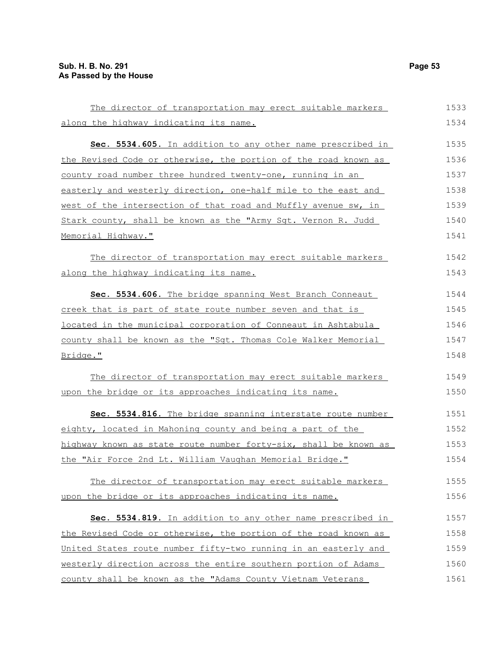| The director of transportation may erect suitable markers        | 1533 |
|------------------------------------------------------------------|------|
| along the highway indicating its name.                           | 1534 |
| Sec. 5534.605. In addition to any other name prescribed in       | 1535 |
| the Revised Code or otherwise, the portion of the road known as  | 1536 |
| county road number three hundred twenty-one, running in an       | 1537 |
| easterly and westerly direction, one-half mile to the east and   | 1538 |
| west of the intersection of that road and Muffly avenue sw, in   | 1539 |
| Stark county, shall be known as the "Army Sgt. Vernon R. Judd    | 1540 |
| Memorial Highway."                                               | 1541 |
| The director of transportation may erect suitable markers        | 1542 |
| along the highway indicating its name.                           | 1543 |
| Sec. 5534.606. The bridge spanning West Branch Conneaut          | 1544 |
| creek that is part of state route number seven and that is       | 1545 |
| located in the municipal corporation of Conneaut in Ashtabula    | 1546 |
| county shall be known as the "Sgt. Thomas Cole Walker Memorial   | 1547 |
| Bridge."                                                         | 1548 |
| The director of transportation may erect suitable markers        | 1549 |
| upon the bridge or its approaches indicating its name.           | 1550 |
| Sec. 5534.816. The bridge spanning interstate route number       | 1551 |
| eighty, located in Mahoning county and being a part of the       | 1552 |
| highway known as state route number forty-six, shall be known as | 1553 |
| the "Air Force 2nd Lt. William Vaughan Memorial Bridge."         | 1554 |
| The director of transportation may erect suitable markers        | 1555 |
| upon the bridge or its approaches indicating its name.           | 1556 |
| Sec. 5534.819. In addition to any other name prescribed in       | 1557 |
| the Revised Code or otherwise, the portion of the road known as  | 1558 |
| United States route number fifty-two running in an easterly and  | 1559 |
| westerly direction across the entire southern portion of Adams   | 1560 |
| county shall be known as the "Adams County Vietnam Veterans      | 1561 |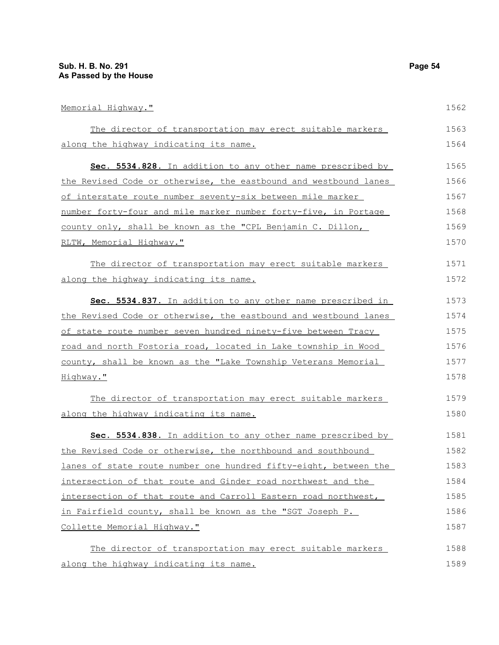Memorial Highway." The director of transportation may erect suitable markers along the highway indicating its name. **Sec. 5534.828.** In addition to any other name prescribed by the Revised Code or otherwise, the eastbound and westbound lanes of interstate route number seventy-six between mile marker number forty-four and mile marker number forty-five, in Portage county only, shall be known as the "CPL Benjamin C. Dillon, RLTW, Memorial Highway." The director of transportation may erect suitable markers along the highway indicating its name. **Sec. 5534.837.** In addition to any other name prescribed in the Revised Code or otherwise, the eastbound and westbound lanes of state route number seven hundred ninety-five between Tracy road and north Fostoria road, located in Lake township in Wood county, shall be known as the "Lake Township Veterans Memorial Highway." The director of transportation may erect suitable markers along the highway indicating its name. **Sec. 5534.838.** In addition to any other name prescribed by the Revised Code or otherwise, the northbound and southbound lanes of state route number one hundred fifty-eight, between the intersection of that route and Ginder road northwest and the intersection of that route and Carroll Eastern road northwest, in Fairfield county, shall be known as the "SGT Joseph P. 1562 1563 1564 1565 1566 1567 1568 1569 1570 1571 1572 1573 1574 1575 1576 1577 1578 1579 1580 1581 1582 1583 1584 1585 1586

Collette Memorial Highway."

The director of transportation may erect suitable markers along the highway indicating its name. 1588 1589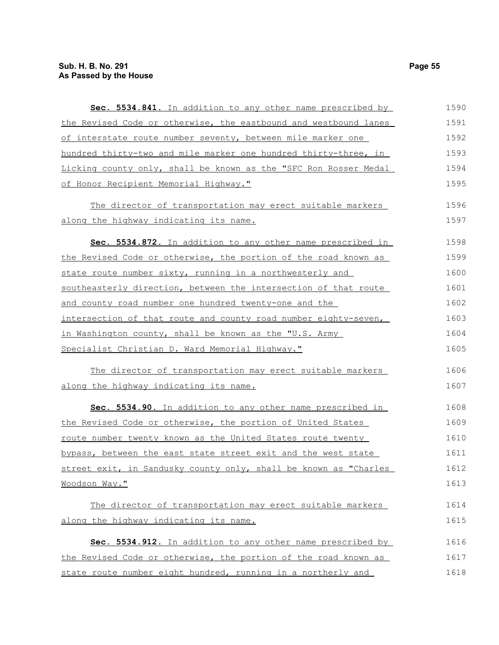| Sec. 5534.841. In addition to any other name prescribed by       | 1590 |
|------------------------------------------------------------------|------|
| the Revised Code or otherwise, the eastbound and westbound lanes | 1591 |
| of interstate route number seventy, between mile marker one      | 1592 |
| hundred thirty-two and mile marker one hundred thirty-three, in  | 1593 |
| Licking county only, shall be known as the "SFC Ron Rosser Medal | 1594 |
| of Honor Recipient Memorial Highway."                            | 1595 |
| The director of transportation may erect suitable markers        | 1596 |
| along the highway indicating its name.                           | 1597 |
| Sec. 5534.872. In addition to any other name prescribed in       | 1598 |
| the Revised Code or otherwise, the portion of the road known as  | 1599 |
| state route number sixty, running in a northwesterly and         | 1600 |
| southeasterly direction, between the intersection of that route  | 1601 |
| and county road number one hundred twenty-one and the            | 1602 |
| intersection of that route and county road number eighty-seven,  | 1603 |
| in Washington county, shall be known as the "U.S. Army           | 1604 |
| Specialist Christian D. Ward Memorial Highway."                  | 1605 |
| The director of transportation may erect suitable markers        | 1606 |
| along the highway indicating its name.                           | 1607 |
| Sec. 5534.90. In addition to any other name prescribed in        | 1608 |
| the Revised Code or otherwise, the portion of United States      | 1609 |
| route number twenty known as the United States route twenty      | 1610 |
| bypass, between the east state street exit and the west state    | 1611 |
| street exit, in Sandusky county only, shall be known as "Charles | 1612 |
| Woodson Way."                                                    | 1613 |
| The director of transportation may erect suitable markers        | 1614 |
| along the highway indicating its name.                           | 1615 |
| Sec. 5534.912. In addition to any other name prescribed by       | 1616 |
| the Revised Code or otherwise, the portion of the road known as  | 1617 |
| state route number eight hundred, running in a northerly and     | 1618 |